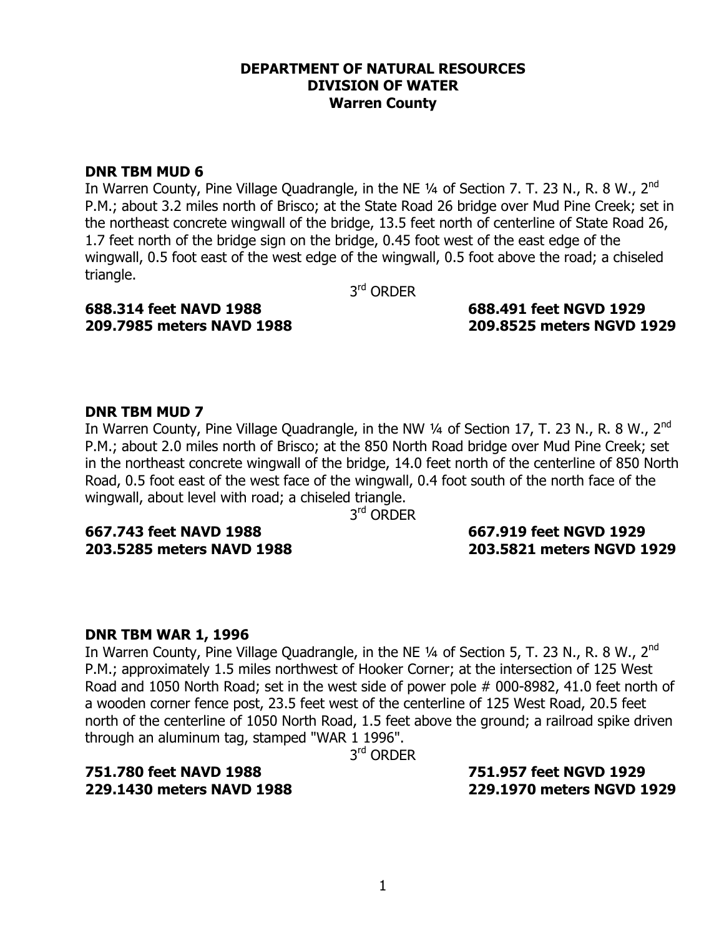#### **DEPARTMENT OF NATURAL RESOURCES DIVISION OF WATER Warren County**

## **DNR TBM MUD 6**

In Warren County, Pine Village Quadrangle, in the NE 1/4 of Section 7. T. 23 N., R. 8 W., 2<sup>nd</sup> P.M.; about 3.2 miles north of Brisco; at the State Road 26 bridge over Mud Pine Creek; set in the northeast concrete wingwall of the bridge, 13.5 feet north of centerline of State Road 26, 1.7 feet north of the bridge sign on the bridge, 0.45 foot west of the east edge of the wingwall, 0.5 foot east of the west edge of the wingwall, 0.5 foot above the road; a chiseled triangle.

3rd ORDER

# **688.314 feet NAVD 1988 688.491 feet NGVD 1929**

# **209.7985 meters NAVD 1988 209.8525 meters NGVD 1929**

# **DNR TBM MUD 7**

In Warren County, Pine Village Quadrangle, in the NW  $\frac{1}{4}$  of Section 17, T. 23 N., R. 8 W., 2<sup>nd</sup> P.M.; about 2.0 miles north of Brisco; at the 850 North Road bridge over Mud Pine Creek; set in the northeast concrete wingwall of the bridge, 14.0 feet north of the centerline of 850 North Road, 0.5 foot east of the west face of the wingwall, 0.4 foot south of the north face of the wingwall, about level with road; a chiseled triangle.

3<sup>rd</sup> ORDER

**667.743 feet NAVD 1988 667.919 feet NGVD 1929** 

# **203.5285 meters NAVD 1988 203.5821 meters NGVD 1929**

# **DNR TBM WAR 1, 1996**

In Warren County, Pine Village Quadrangle, in the NE  $\frac{1}{4}$  of Section 5, T. 23 N., R. 8 W., 2<sup>nd</sup> P.M.; approximately 1.5 miles northwest of Hooker Corner; at the intersection of 125 West Road and 1050 North Road; set in the west side of power pole # 000-8982, 41.0 feet north of a wooden corner fence post, 23.5 feet west of the centerline of 125 West Road, 20.5 feet north of the centerline of 1050 North Road, 1.5 feet above the ground; a railroad spike driven through an aluminum tag, stamped "WAR 1 1996".

3<sup>rd</sup> ORDER

# **751.780 feet NAVD 1988 751.957 feet NGVD 1929**

**229.1430 meters NAVD 1988 229.1970 meters NGVD 1929**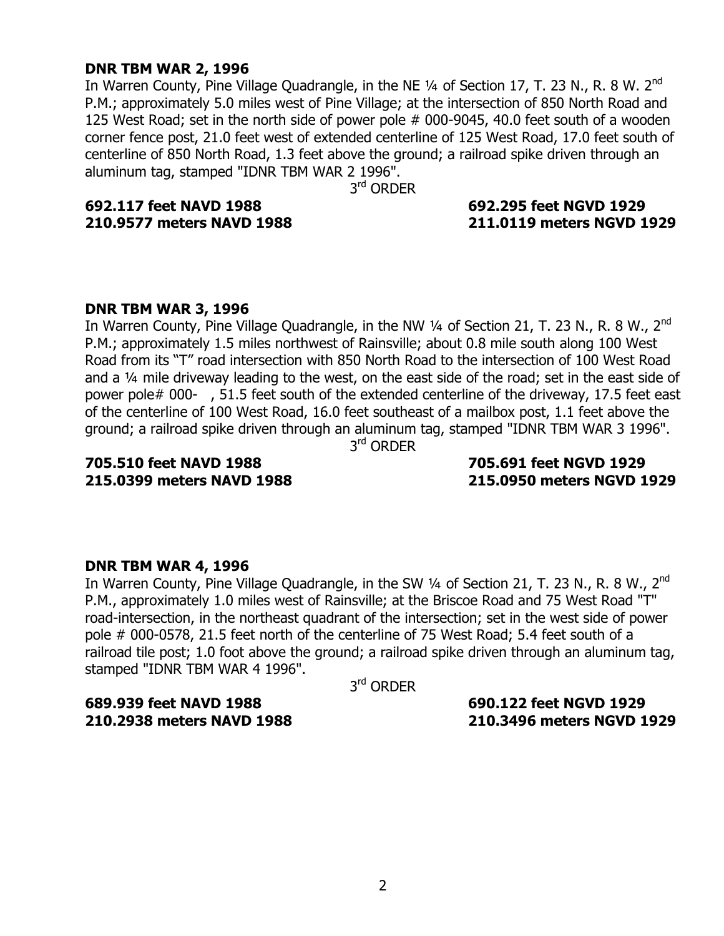## **DNR TBM WAR 2, 1996**

In Warren County, Pine Village Quadrangle, in the NE  $\frac{1}{4}$  of Section 17, T. 23 N., R. 8 W. 2<sup>nd</sup> P.M.; approximately 5.0 miles west of Pine Village; at the intersection of 850 North Road and 125 West Road; set in the north side of power pole # 000-9045, 40.0 feet south of a wooden corner fence post, 21.0 feet west of extended centerline of 125 West Road, 17.0 feet south of centerline of 850 North Road, 1.3 feet above the ground; a railroad spike driven through an aluminum tag, stamped "IDNR TBM WAR 2 1996".

3<sup>rd</sup> ORDER

# **692.117 feet NAVD 1988 692.295 feet NGVD 1929**

# **210.9577 meters NAVD 1988 211.0119 meters NGVD 1929**

## **DNR TBM WAR 3, 1996**

In Warren County, Pine Village Quadrangle, in the NW  $\frac{1}{4}$  of Section 21, T. 23 N., R. 8 W., 2<sup>nd</sup> P.M.; approximately 1.5 miles northwest of Rainsville; about 0.8 mile south along 100 West Road from its "T" road intersection with 850 North Road to the intersection of 100 West Road and a 1/4 mile driveway leading to the west, on the east side of the road; set in the east side of power pole# 000- , 51.5 feet south of the extended centerline of the driveway, 17.5 feet east of the centerline of 100 West Road, 16.0 feet southeast of a mailbox post, 1.1 feet above the ground; a railroad spike driven through an aluminum tag, stamped "IDNR TBM WAR 3 1996".

3rd ORDER

# **705.510 feet NAVD 1988 705.691 feet NGVD 1929**

**215.0399 meters NAVD 1988 215.0950 meters NGVD 1929** 

# **DNR TBM WAR 4, 1996**

In Warren County, Pine Village Quadrangle, in the SW  $\frac{1}{4}$  of Section 21, T. 23 N., R. 8 W., 2<sup>nd</sup> P.M., approximately 1.0 miles west of Rainsville; at the Briscoe Road and 75 West Road "T" road-intersection, in the northeast quadrant of the intersection; set in the west side of power pole # 000-0578, 21.5 feet north of the centerline of 75 West Road; 5.4 feet south of a railroad tile post; 1.0 foot above the ground; a railroad spike driven through an aluminum tag, stamped "IDNR TBM WAR 4 1996".

3rd ORDER

**689.939 feet NAVD 1988 690.122 feet NGVD 1929 210.2938 meters NAVD 1988 210.3496 meters NGVD 1929**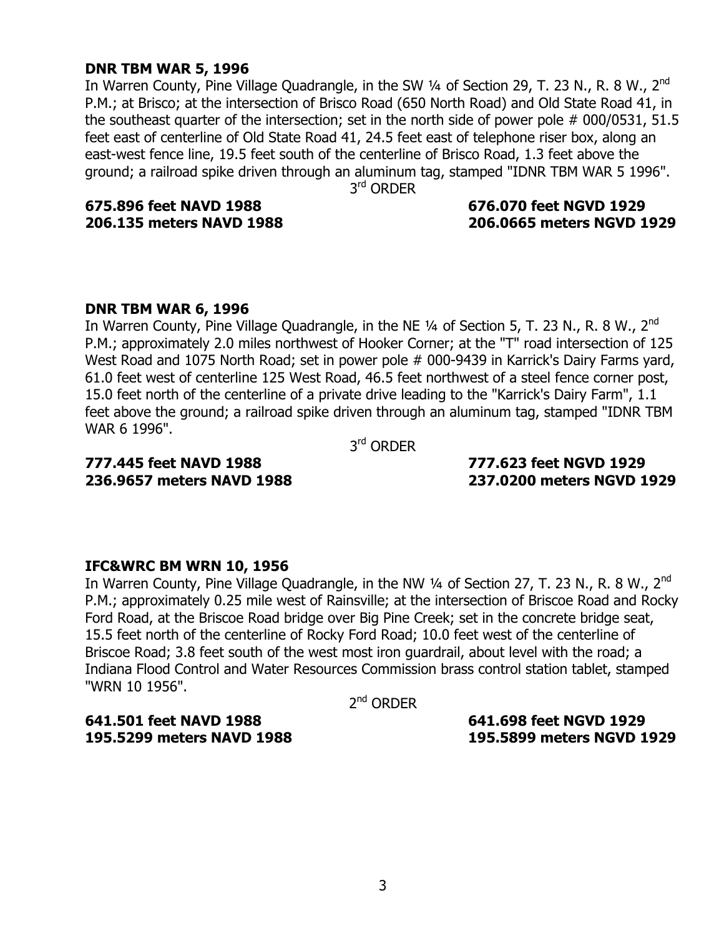## **DNR TBM WAR 5, 1996**

In Warren County, Pine Village Quadrangle, in the SW 1/4 of Section 29, T. 23 N., R. 8 W., 2<sup>nd</sup> P.M.; at Brisco; at the intersection of Brisco Road (650 North Road) and Old State Road 41, in the southeast quarter of the intersection; set in the north side of power pole # 000/0531, 51.5 feet east of centerline of Old State Road 41, 24.5 feet east of telephone riser box, along an east-west fence line, 19.5 feet south of the centerline of Brisco Road, 1.3 feet above the ground; a railroad spike driven through an aluminum tag, stamped "IDNR TBM WAR 5 1996".

3rd ORDER

**675.896 feet NAVD 1988 676.070 feet NGVD 1929** 

# **206.135 meters NAVD 1988 206.0665 meters NGVD 1929**

## **DNR TBM WAR 6, 1996**

In Warren County, Pine Village Quadrangle, in the NE  $\frac{1}{4}$  of Section 5, T. 23 N., R. 8 W., 2<sup>nd</sup> P.M.; approximately 2.0 miles northwest of Hooker Corner; at the "T" road intersection of 125 West Road and 1075 North Road; set in power pole # 000-9439 in Karrick's Dairy Farms yard, 61.0 feet west of centerline 125 West Road, 46.5 feet northwest of a steel fence corner post, 15.0 feet north of the centerline of a private drive leading to the "Karrick's Dairy Farm", 1.1 feet above the ground; a railroad spike driven through an aluminum tag, stamped "IDNR TBM WAR 6 1996".

3rd ORDER

# **777.445 feet NAVD 1988 777.623 feet NGVD 1929**

**236.9657 meters NAVD 1988 237.0200 meters NGVD 1929** 

# **IFC&WRC BM WRN 10, 1956**

In Warren County, Pine Village Quadrangle, in the NW 1/4 of Section 27, T. 23 N., R. 8 W., 2<sup>nd</sup> P.M.; approximately 0.25 mile west of Rainsville; at the intersection of Briscoe Road and Rocky Ford Road, at the Briscoe Road bridge over Big Pine Creek; set in the concrete bridge seat, 15.5 feet north of the centerline of Rocky Ford Road; 10.0 feet west of the centerline of Briscoe Road; 3.8 feet south of the west most iron guardrail, about level with the road; a Indiana Flood Control and Water Resources Commission brass control station tablet, stamped "WRN 10 1956".

2<sup>nd</sup> ORDER

**641.501 feet NAVD 1988 641.698 feet NGVD 1929** 

**195.5299 meters NAVD 1988 195.5899 meters NGVD 1929**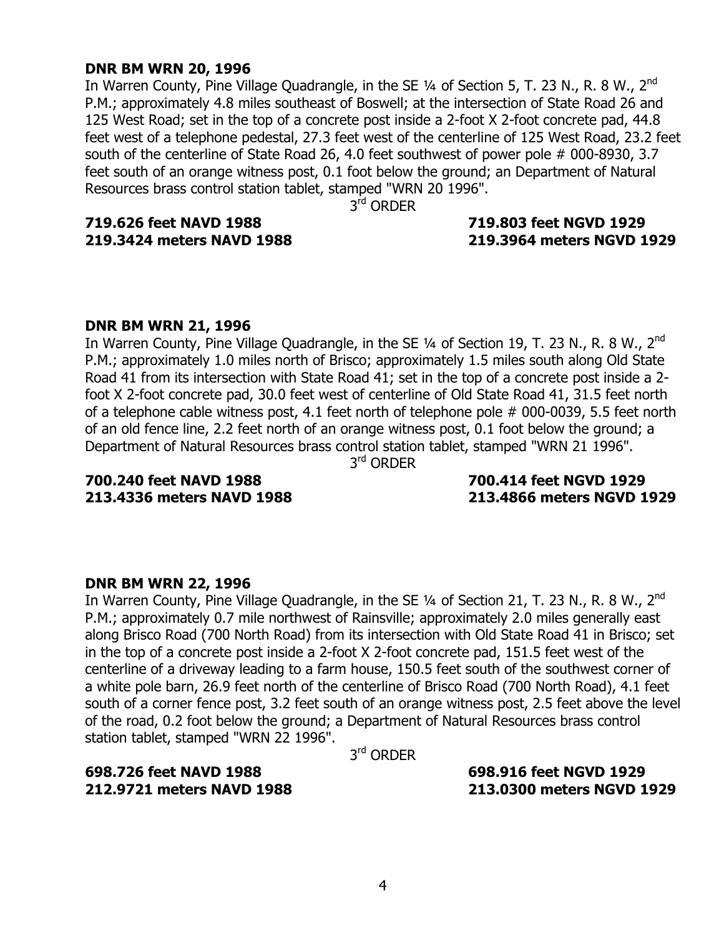## **DNR BM WRN 20, 1996**

In Warren County, Pine Village Quadrangle, in the SE  $\frac{1}{4}$  of Section 5, T. 23 N., R. 8 W., 2<sup>nd</sup> P.M.; approximately 4.8 miles southeast of Boswell; at the intersection of State Road 26 and 125 West Road; set in the top of a concrete post inside a 2-foot X 2-foot concrete pad, 44.8 feet west of a telephone pedestal, 27.3 feet west of the centerline of 125 West Road, 23.2 feet south of the centerline of State Road 26, 4.0 feet southwest of power pole # 000-8930, 3.7 feet south of an orange witness post, 0.1 foot below the ground; an Department of Natural Resources brass control station tablet, stamped "WRN 20 1996".

3<sup>rd</sup> ORDER

**719.626 feet NAVD 1988 719.803 feet NGVD 1929** 

# **219.3424 meters NAVD 1988 219.3964 meters NGVD 1929**

## **DNR BM WRN 21, 1996**

In Warren County, Pine Village Quadrangle, in the SE  $\frac{1}{4}$  of Section 19, T. 23 N., R. 8 W., 2<sup>nd</sup> P.M.; approximately 1.0 miles north of Brisco; approximately 1.5 miles south along Old State Road 41 from its intersection with State Road 41; set in the top of a concrete post inside a 2 foot X 2-foot concrete pad, 30.0 feet west of centerline of Old State Road 41, 31.5 feet north of a telephone cable witness post, 4.1 feet north of telephone pole # 000-0039, 5.5 feet north of an old fence line, 2.2 feet north of an orange witness post, 0.1 foot below the ground; a Department of Natural Resources brass control station tablet, stamped "WRN 21 1996".

3<sup>rd</sup> ORDER

**213.4336 meters NAVD 1988 213.4866 meters NGVD 1929** 

# **700.240 feet NAVD 1988 700.414 feet NGVD 1929**

# **DNR BM WRN 22, 1996**

In Warren County, Pine Village Quadrangle, in the SE  $\frac{1}{4}$  of Section 21, T. 23 N., R. 8 W., 2<sup>nd</sup> P.M.; approximately 0.7 mile northwest of Rainsville; approximately 2.0 miles generally east along Brisco Road (700 North Road) from its intersection with Old State Road 41 in Brisco; set in the top of a concrete post inside a 2-foot X 2-foot concrete pad, 151.5 feet west of the centerline of a driveway leading to a farm house, 150.5 feet south of the southwest corner of a white pole barn, 26.9 feet north of the centerline of Brisco Road (700 North Road), 4.1 feet south of a corner fence post, 3.2 feet south of an orange witness post, 2.5 feet above the level of the road, 0.2 foot below the ground; a Department of Natural Resources brass control station tablet, stamped "WRN 22 1996".

3rd ORDER

# **698.726 feet NAVD 1988 698.916 feet NGVD 1929**

**212.9721 meters NAVD 1988 213.0300 meters NGVD 1929**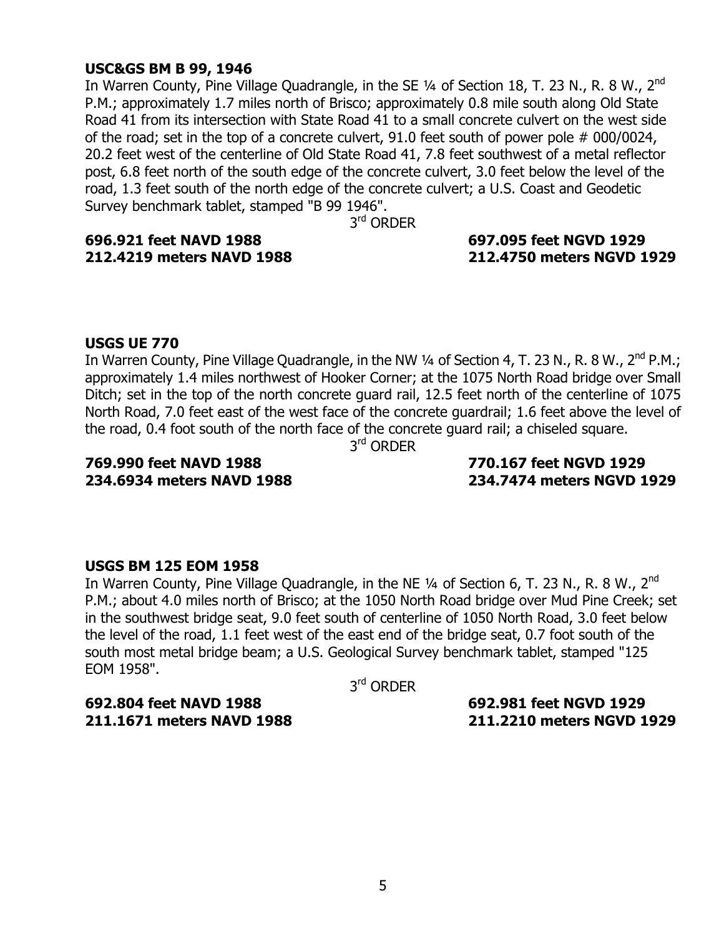## **USC&GS BM B 99, 1946**

In Warren County, Pine Village Quadrangle, in the SE  $\frac{1}{4}$  of Section 18, T. 23 N., R. 8 W., 2<sup>nd</sup> P.M.; approximately 1.7 miles north of Brisco; approximately 0.8 mile south along Old State Road 41 from its intersection with State Road 41 to a small concrete culvert on the west side of the road; set in the top of a concrete culvert, 91.0 feet south of power pole # 000/0024, 20.2 feet west of the centerline of Old State Road 41, 7.8 feet southwest of a metal reflector post, 6.8 feet north of the south edge of the concrete culvert, 3.0 feet below the level of the road, 1.3 feet south of the north edge of the concrete culvert; a U.S. Coast and Geodetic Survey benchmark tablet, stamped "B 99 1946".

3<sup>rd</sup> ORDER

**696.921 feet NAVD 1988 697.095 feet NGVD 1929** 

# **212.4219 meters NAVD 1988 212.4750 meters NGVD 1929**

## **USGS UE 770**

In Warren County, Pine Village Quadrangle, in the NW 1/4 of Section 4, T. 23 N., R. 8 W., 2<sup>nd</sup> P.M.; approximately 1.4 miles northwest of Hooker Corner; at the 1075 North Road bridge over Small Ditch; set in the top of the north concrete guard rail, 12.5 feet north of the centerline of 1075 North Road, 7.0 feet east of the west face of the concrete guardrail; 1.6 feet above the level of the road, 0.4 foot south of the north face of the concrete guard rail; a chiseled square.

3rd ORDER

**234.6934 meters NAVD 1988 234.7474 meters NGVD 1929** 

# **769.990 feet NAVD 1988 770.167 feet NGVD 1929**

## **USGS BM 125 EOM 1958**

In Warren County, Pine Village Quadrangle, in the NE 1/4 of Section 6, T. 23 N., R. 8 W., 2<sup>nd</sup> P.M.; about 4.0 miles north of Brisco; at the 1050 North Road bridge over Mud Pine Creek; set in the southwest bridge seat, 9.0 feet south of centerline of 1050 North Road, 3.0 feet below the level of the road, 1.1 feet west of the east end of the bridge seat, 0.7 foot south of the south most metal bridge beam; a U.S. Geological Survey benchmark tablet, stamped "125 EOM 1958".

3rd ORDER

**692.804 feet NAVD 1988 692.981 feet NGVD 1929** 

**211.1671 meters NAVD 1988 211.2210 meters NGVD 1929**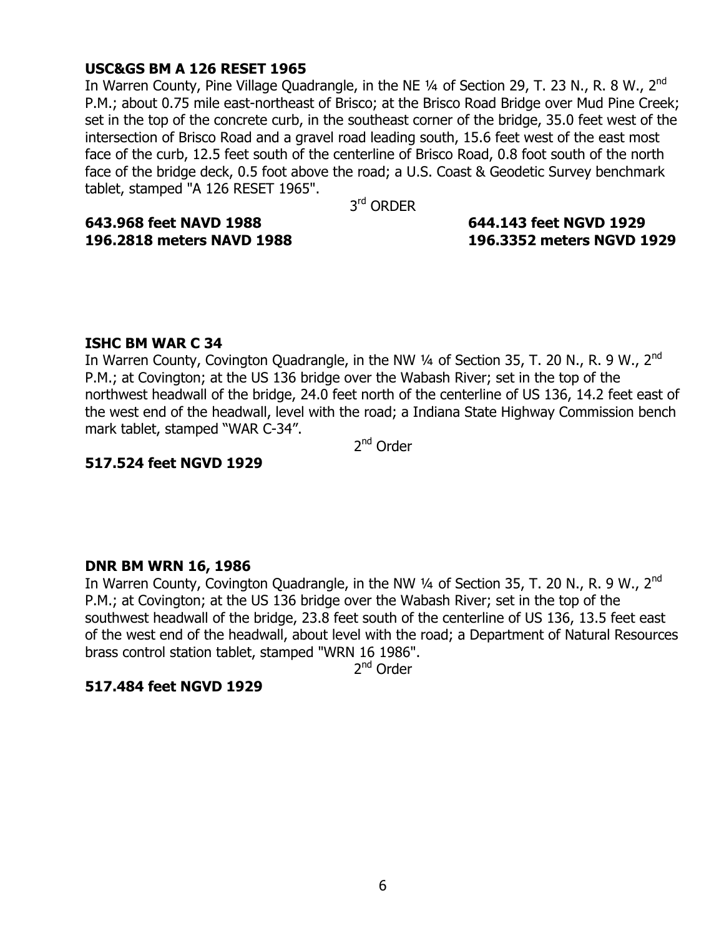## **USC&GS BM A 126 RESET 1965**

In Warren County, Pine Village Quadrangle, in the NE  $\frac{1}{4}$  of Section 29, T. 23 N., R. 8 W., 2<sup>nd</sup> P.M.; about 0.75 mile east-northeast of Brisco; at the Brisco Road Bridge over Mud Pine Creek; set in the top of the concrete curb, in the southeast corner of the bridge, 35.0 feet west of the intersection of Brisco Road and a gravel road leading south, 15.6 feet west of the east most face of the curb, 12.5 feet south of the centerline of Brisco Road, 0.8 foot south of the north face of the bridge deck, 0.5 foot above the road; a U.S. Coast & Geodetic Survey benchmark tablet, stamped "A 126 RESET 1965".

3<sup>rd</sup> ORDER

**643.968 feet NAVD 1988 644.143 feet NGVD 1929** 

# **196.2818 meters NAVD 1988 196.3352 meters NGVD 1929**

## **ISHC BM WAR C 34**

In Warren County, Covington Quadrangle, in the NW  $\frac{1}{4}$  of Section 35, T. 20 N., R. 9 W., 2<sup>nd</sup> P.M.; at Covington; at the US 136 bridge over the Wabash River; set in the top of the northwest headwall of the bridge, 24.0 feet north of the centerline of US 136, 14.2 feet east of the west end of the headwall, level with the road; a Indiana State Highway Commission bench mark tablet, stamped "WAR C-34".

2<sup>nd</sup> Order

#### **517.524 feet NGVD 1929**

## **DNR BM WRN 16, 1986**

In Warren County, Covington Quadrangle, in the NW 1/4 of Section 35, T. 20 N., R. 9 W., 2<sup>nd</sup> P.M.; at Covington; at the US 136 bridge over the Wabash River; set in the top of the southwest headwall of the bridge, 23.8 feet south of the centerline of US 136, 13.5 feet east of the west end of the headwall, about level with the road; a Department of Natural Resources brass control station tablet, stamped "WRN 16 1986".

2<sup>nd</sup> Order

#### **517.484 feet NGVD 1929**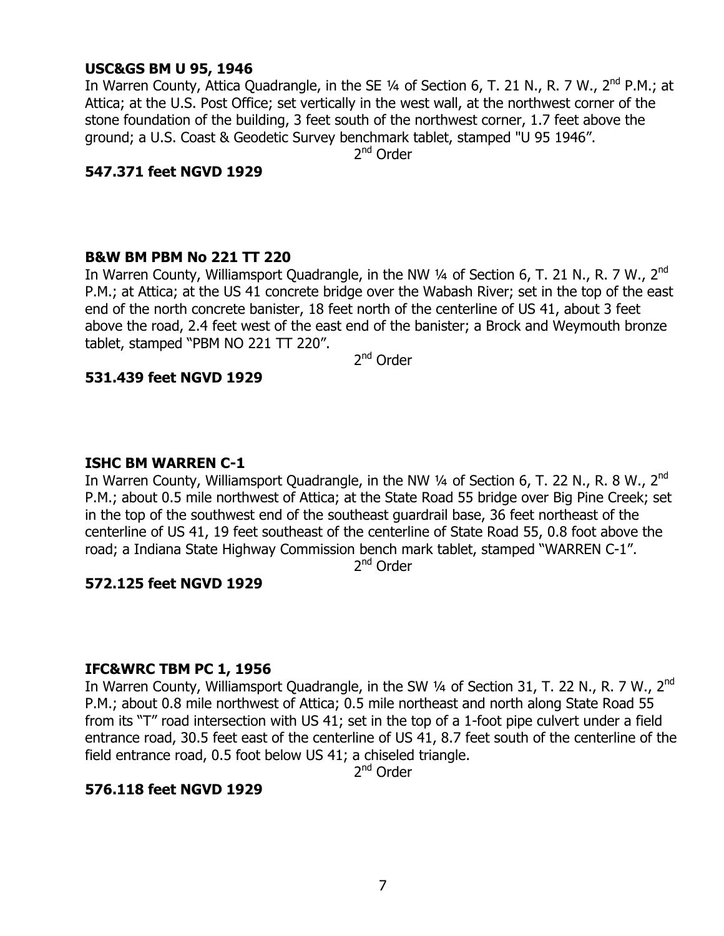# **USC&GS BM U 95, 1946**

In Warren County, Attica Quadrangle, in the SE  $\frac{1}{4}$  of Section 6, T. 21 N., R. 7 W., 2<sup>nd</sup> P.M.; at Attica; at the U.S. Post Office; set vertically in the west wall, at the northwest corner of the stone foundation of the building, 3 feet south of the northwest corner, 1.7 feet above the ground; a U.S. Coast & Geodetic Survey benchmark tablet, stamped "U 95 1946".

2<sup>nd</sup> Order

## **547.371 feet NGVD 1929**

#### **B&W BM PBM No 221 TT 220**

In Warren County, Williamsport Quadrangle, in the NW 1/4 of Section 6, T. 21 N., R. 7 W., 2<sup>nd</sup> P.M.; at Attica; at the US 41 concrete bridge over the Wabash River; set in the top of the east end of the north concrete banister, 18 feet north of the centerline of US 41, about 3 feet above the road, 2.4 feet west of the east end of the banister; a Brock and Weymouth bronze tablet, stamped "PBM NO 221 TT 220".

2nd Order

## **531.439 feet NGVD 1929**

## **ISHC BM WARREN C-1**

In Warren County, Williamsport Quadrangle, in the NW 1/4 of Section 6, T. 22 N., R. 8 W., 2<sup>nd</sup> P.M.; about 0.5 mile northwest of Attica; at the State Road 55 bridge over Big Pine Creek; set in the top of the southwest end of the southeast guardrail base, 36 feet northeast of the centerline of US 41, 19 feet southeast of the centerline of State Road 55, 0.8 foot above the road; a Indiana State Highway Commission bench mark tablet, stamped "WARREN C-1".

2<sup>nd</sup> Order

# **572.125 feet NGVD 1929**

## **IFC&WRC TBM PC 1, 1956**

In Warren County, Williamsport Quadrangle, in the SW 1/4 of Section 31, T. 22 N., R. 7 W., 2<sup>nd</sup> P.M.; about 0.8 mile northwest of Attica; 0.5 mile northeast and north along State Road 55 from its "T" road intersection with US 41; set in the top of a 1-foot pipe culvert under a field entrance road, 30.5 feet east of the centerline of US 41, 8.7 feet south of the centerline of the field entrance road, 0.5 foot below US 41; a chiseled triangle.

2<sup>nd</sup> Order

## **576.118 feet NGVD 1929**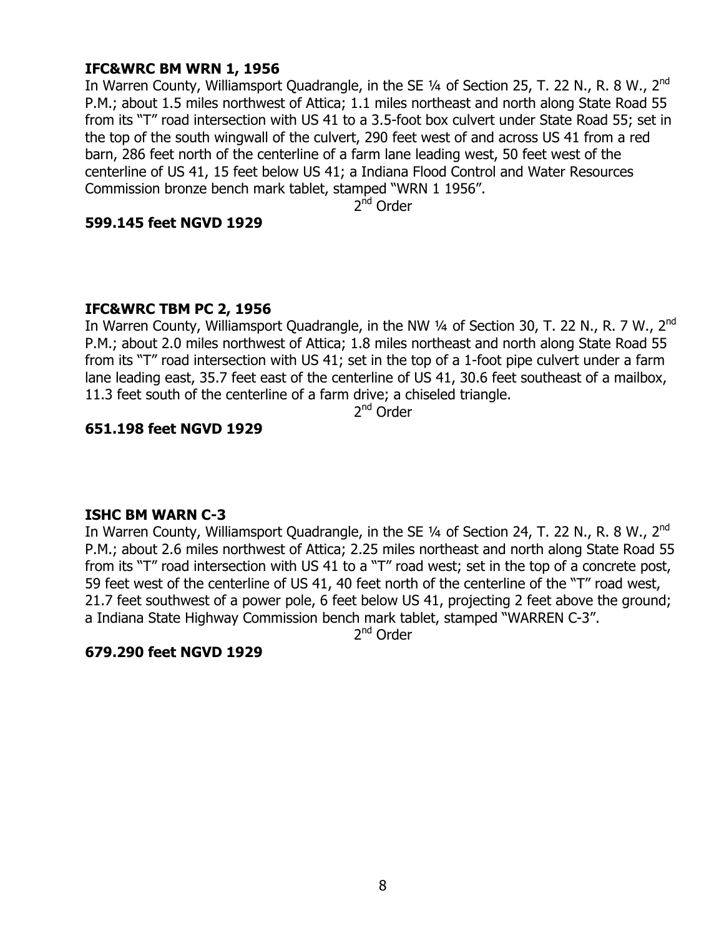# **IFC&WRC BM WRN 1, 1956**

In Warren County, Williamsport Quadrangle, in the SE  $\frac{1}{4}$  of Section 25, T. 22 N., R. 8 W., 2<sup>nd</sup> P.M.; about 1.5 miles northwest of Attica; 1.1 miles northeast and north along State Road 55 from its "T" road intersection with US 41 to a 3.5-foot box culvert under State Road 55; set in the top of the south wingwall of the culvert, 290 feet west of and across US 41 from a red barn, 286 feet north of the centerline of a farm lane leading west, 50 feet west of the centerline of US 41, 15 feet below US 41; a Indiana Flood Control and Water Resources Commission bronze bench mark tablet, stamped "WRN 1 1956".

2<sup>nd</sup> Order

## **599.145 feet NGVD 1929**

## **IFC&WRC TBM PC 2, 1956**

In Warren County, Williamsport Quadrangle, in the NW 1/4 of Section 30, T. 22 N., R. 7 W., 2<sup>nd</sup> P.M.; about 2.0 miles northwest of Attica; 1.8 miles northeast and north along State Road 55 from its "T" road intersection with US 41; set in the top of a 1-foot pipe culvert under a farm lane leading east, 35.7 feet east of the centerline of US 41, 30.6 feet southeast of a mailbox, 11.3 feet south of the centerline of a farm drive; a chiseled triangle.

2nd Order

# **651.198 feet NGVD 1929**

## **ISHC BM WARN C-3**

In Warren County, Williamsport Quadrangle, in the SE  $\frac{1}{4}$  of Section 24, T. 22 N., R. 8 W., 2<sup>nd</sup> P.M.; about 2.6 miles northwest of Attica; 2.25 miles northeast and north along State Road 55 from its "T" road intersection with US 41 to a "T" road west; set in the top of a concrete post, 59 feet west of the centerline of US 41, 40 feet north of the centerline of the "T" road west, 21.7 feet southwest of a power pole, 6 feet below US 41, projecting 2 feet above the ground; a Indiana State Highway Commission bench mark tablet, stamped "WARREN C-3".

2<sup>nd</sup> Order

## **679.290 feet NGVD 1929**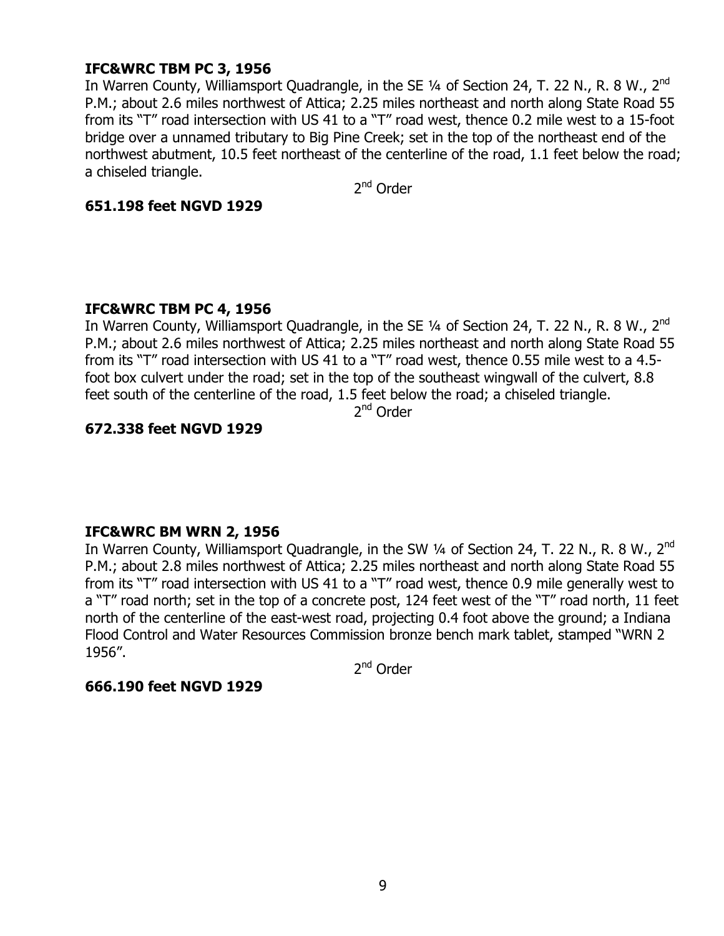# **IFC&WRC TBM PC 3, 1956**

In Warren County, Williamsport Quadrangle, in the SE 1/4 of Section 24, T. 22 N., R. 8 W., 2<sup>nd</sup> P.M.; about 2.6 miles northwest of Attica; 2.25 miles northeast and north along State Road 55 from its "T" road intersection with US 41 to a "T" road west, thence 0.2 mile west to a 15-foot bridge over a unnamed tributary to Big Pine Creek; set in the top of the northeast end of the northwest abutment, 10.5 feet northeast of the centerline of the road, 1.1 feet below the road; a chiseled triangle.

2<sup>nd</sup> Order

#### **651.198 feet NGVD 1929**

## **IFC&WRC TBM PC 4, 1956**

In Warren County, Williamsport Quadrangle, in the SE  $\frac{1}{4}$  of Section 24, T. 22 N., R. 8 W., 2<sup>nd</sup> P.M.; about 2.6 miles northwest of Attica; 2.25 miles northeast and north along State Road 55 from its "T" road intersection with US 41 to a "T" road west, thence 0.55 mile west to a 4.5foot box culvert under the road; set in the top of the southeast wingwall of the culvert, 8.8 feet south of the centerline of the road, 1.5 feet below the road; a chiseled triangle.

2nd Order

# **672.338 feet NGVD 1929**

## **IFC&WRC BM WRN 2, 1956**

In Warren County, Williamsport Quadrangle, in the SW 1/4 of Section 24, T. 22 N., R. 8 W., 2<sup>nd</sup> P.M.; about 2.8 miles northwest of Attica; 2.25 miles northeast and north along State Road 55 from its "T" road intersection with US 41 to a "T" road west, thence 0.9 mile generally west to a "T" road north; set in the top of a concrete post, 124 feet west of the "T" road north, 11 feet north of the centerline of the east-west road, projecting 0.4 foot above the ground; a Indiana Flood Control and Water Resources Commission bronze bench mark tablet, stamped "WRN 2 1956".

2<sup>nd</sup> Order

#### **666.190 feet NGVD 1929**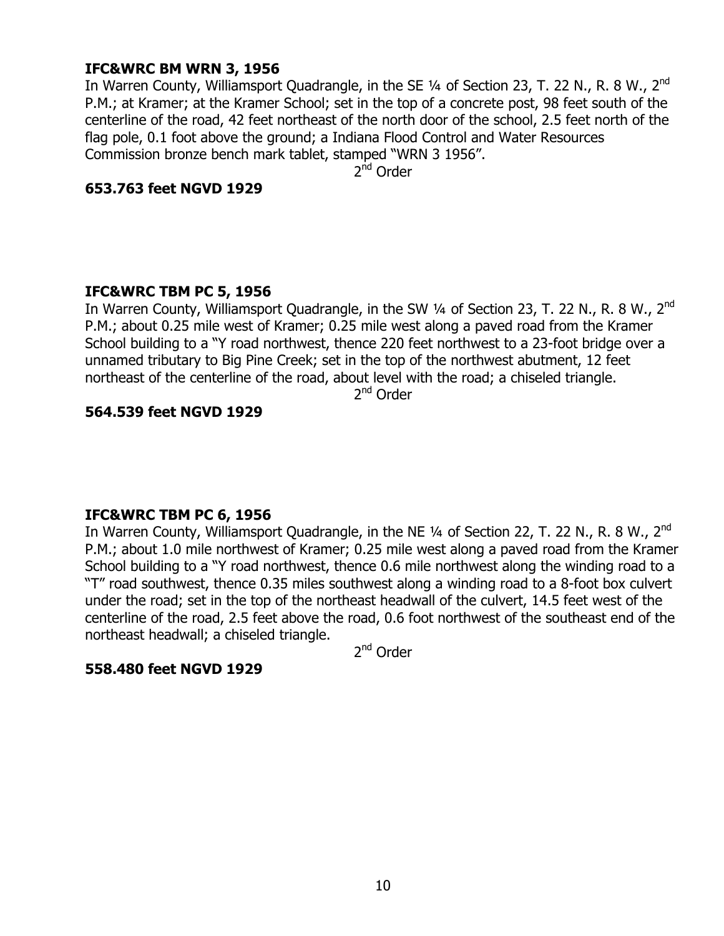# **IFC&WRC BM WRN 3, 1956**

In Warren County, Williamsport Quadrangle, in the SE 1/4 of Section 23, T. 22 N., R. 8 W., 2<sup>nd</sup> P.M.; at Kramer; at the Kramer School; set in the top of a concrete post, 98 feet south of the centerline of the road, 42 feet northeast of the north door of the school, 2.5 feet north of the flag pole, 0.1 foot above the ground; a Indiana Flood Control and Water Resources Commission bronze bench mark tablet, stamped "WRN 3 1956".

2<sup>nd</sup> Order

## **653.763 feet NGVD 1929**

## **IFC&WRC TBM PC 5, 1956**

In Warren County, Williamsport Quadrangle, in the SW 1/4 of Section 23, T. 22 N., R. 8 W., 2<sup>nd</sup> P.M.; about 0.25 mile west of Kramer; 0.25 mile west along a paved road from the Kramer School building to a "Y road northwest, thence 220 feet northwest to a 23-foot bridge over a unnamed tributary to Big Pine Creek; set in the top of the northwest abutment, 12 feet northeast of the centerline of the road, about level with the road; a chiseled triangle.

2<sup>nd</sup> Order

## **564.539 feet NGVD 1929**

## **IFC&WRC TBM PC 6, 1956**

In Warren County, Williamsport Quadrangle, in the NE  $\frac{1}{4}$  of Section 22, T. 22 N., R. 8 W., 2<sup>nd</sup> P.M.; about 1.0 mile northwest of Kramer; 0.25 mile west along a paved road from the Kramer School building to a "Y road northwest, thence 0.6 mile northwest along the winding road to a —T" road southwest, thence 0.35 miles southwest along a winding road to a 8-foot box culvert under the road; set in the top of the northeast headwall of the culvert, 14.5 feet west of the centerline of the road, 2.5 feet above the road, 0.6 foot northwest of the southeast end of the northeast headwall; a chiseled triangle.

2nd Order

## **558.480 feet NGVD 1929**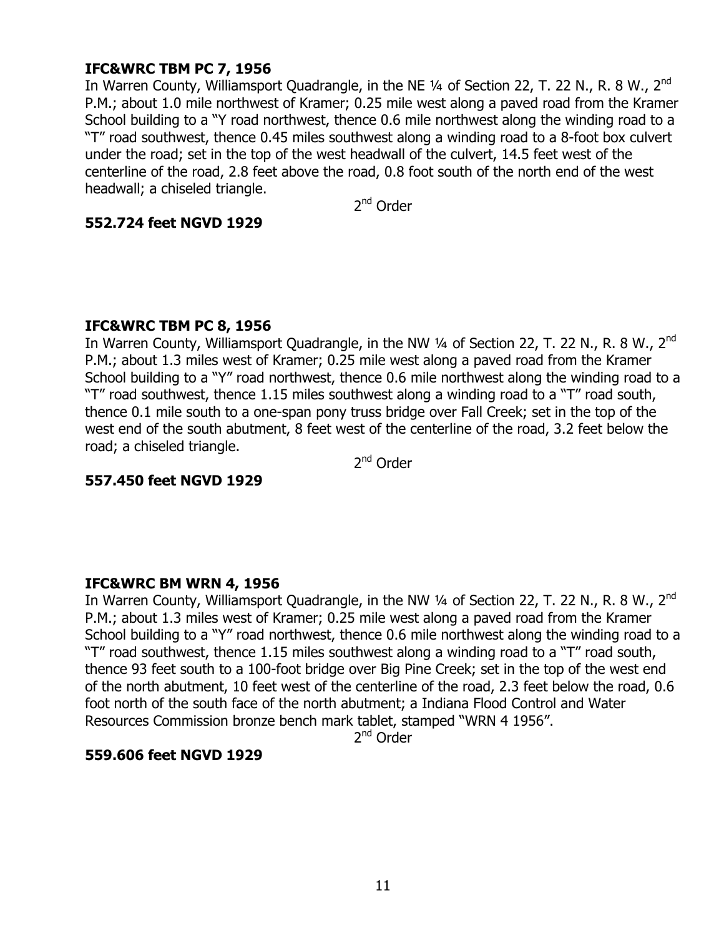# **IFC&WRC TBM PC 7, 1956**

In Warren County, Williamsport Quadrangle, in the NE  $\frac{1}{4}$  of Section 22, T. 22 N., R. 8 W., 2<sup>nd</sup> P.M.; about 1.0 mile northwest of Kramer; 0.25 mile west along a paved road from the Kramer School building to a "Y road northwest, thence 0.6 mile northwest along the winding road to a "T" road southwest, thence 0.45 miles southwest along a winding road to a 8-foot box culvert under the road; set in the top of the west headwall of the culvert, 14.5 feet west of the centerline of the road, 2.8 feet above the road, 0.8 foot south of the north end of the west headwall; a chiseled triangle.

2<sup>nd</sup> Order

## **552.724 feet NGVD 1929**

## **IFC&WRC TBM PC 8, 1956**

In Warren County, Williamsport Quadrangle, in the NW 1/4 of Section 22, T. 22 N., R. 8 W., 2<sup>nd</sup> P.M.; about 1.3 miles west of Kramer; 0.25 mile west along a paved road from the Kramer School building to a "Y" road northwest, thence 0.6 mile northwest along the winding road to a "T" road southwest, thence 1.15 miles southwest along a winding road to a "T" road south, thence 0.1 mile south to a one-span pony truss bridge over Fall Creek; set in the top of the west end of the south abutment, 8 feet west of the centerline of the road, 3.2 feet below the road; a chiseled triangle.

2<sup>nd</sup> Order

# **557.450 feet NGVD 1929**

## **IFC&WRC BM WRN 4, 1956**

In Warren County, Williamsport Quadrangle, in the NW  $\frac{1}{4}$  of Section 22, T. 22 N., R. 8 W., 2<sup>nd</sup> P.M.; about 1.3 miles west of Kramer; 0.25 mile west along a paved road from the Kramer School building to a "Y" road northwest, thence 0.6 mile northwest along the winding road to a "T" road southwest, thence 1.15 miles southwest along a winding road to a "T" road south, thence 93 feet south to a 100-foot bridge over Big Pine Creek; set in the top of the west end of the north abutment, 10 feet west of the centerline of the road, 2.3 feet below the road, 0.6 foot north of the south face of the north abutment; a Indiana Flood Control and Water Resources Commission bronze bench mark tablet, stamped "WRN 4 1956".

2<sup>nd</sup> Order

## **559.606 feet NGVD 1929**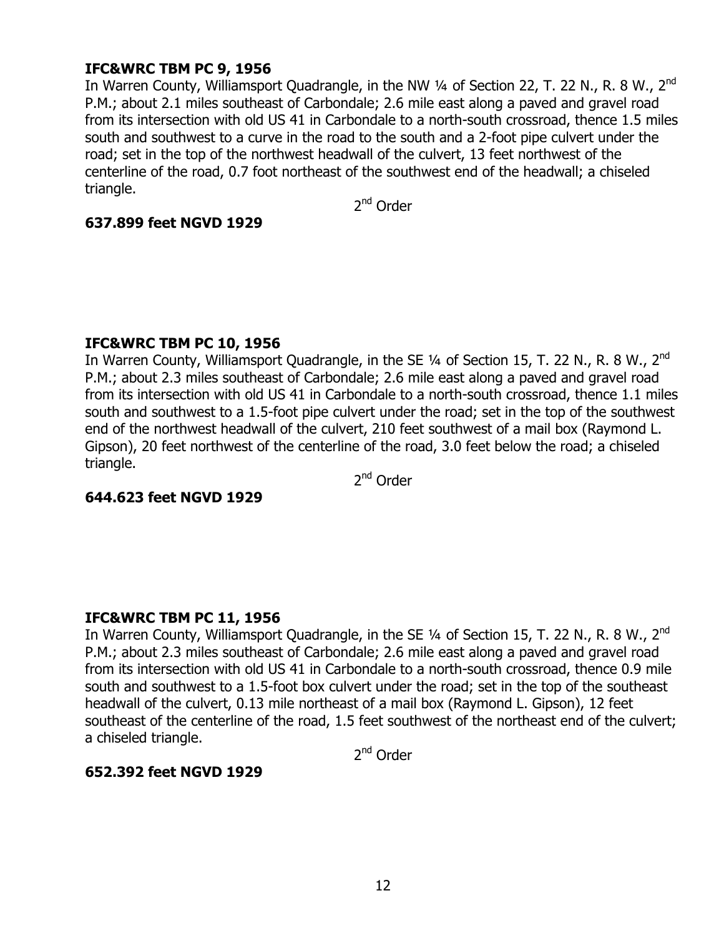# **IFC&WRC TBM PC 9, 1956**

In Warren County, Williamsport Quadrangle, in the NW 1/4 of Section 22, T. 22 N., R. 8 W., 2<sup>nd</sup> P.M.; about 2.1 miles southeast of Carbondale; 2.6 mile east along a paved and gravel road from its intersection with old US 41 in Carbondale to a north-south crossroad, thence 1.5 miles south and southwest to a curve in the road to the south and a 2-foot pipe culvert under the road; set in the top of the northwest headwall of the culvert, 13 feet northwest of the centerline of the road, 0.7 foot northeast of the southwest end of the headwall; a chiseled triangle.

2<sup>nd</sup> Order

## **637.899 feet NGVD 1929**

## **IFC&WRC TBM PC 10, 1956**

In Warren County, Williamsport Quadrangle, in the SE 1/4 of Section 15, T. 22 N., R. 8 W., 2<sup>nd</sup> P.M.; about 2.3 miles southeast of Carbondale; 2.6 mile east along a paved and gravel road from its intersection with old US 41 in Carbondale to a north-south crossroad, thence 1.1 miles south and southwest to a 1.5-foot pipe culvert under the road; set in the top of the southwest end of the northwest headwall of the culvert, 210 feet southwest of a mail box (Raymond L. Gipson), 20 feet northwest of the centerline of the road, 3.0 feet below the road; a chiseled triangle.

2<sup>nd</sup> Order

## **644.623 feet NGVD 1929**

# **IFC&WRC TBM PC 11, 1956**

In Warren County, Williamsport Quadrangle, in the SE  $\frac{1}{4}$  of Section 15, T. 22 N., R. 8 W., 2<sup>nd</sup> P.M.; about 2.3 miles southeast of Carbondale; 2.6 mile east along a paved and gravel road from its intersection with old US 41 in Carbondale to a north-south crossroad, thence 0.9 mile south and southwest to a 1.5-foot box culvert under the road; set in the top of the southeast headwall of the culvert, 0.13 mile northeast of a mail box (Raymond L. Gipson), 12 feet southeast of the centerline of the road, 1.5 feet southwest of the northeast end of the culvert; a chiseled triangle.

2<sup>nd</sup> Order

## **652.392 feet NGVD 1929**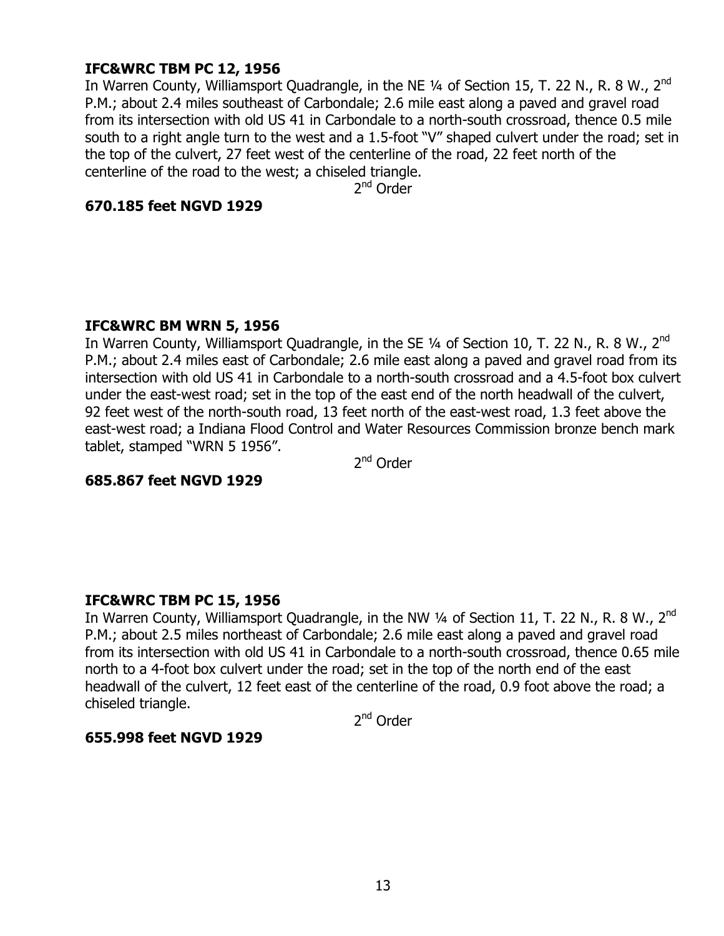# **IFC&WRC TBM PC 12, 1956**

In Warren County, Williamsport Quadrangle, in the NE 1/4 of Section 15, T. 22 N., R. 8 W., 2<sup>nd</sup> P.M.; about 2.4 miles southeast of Carbondale; 2.6 mile east along a paved and gravel road from its intersection with old US 41 in Carbondale to a north-south crossroad, thence 0.5 mile south to a right angle turn to the west and a 1.5-foot "V" shaped culvert under the road; set in the top of the culvert, 27 feet west of the centerline of the road, 22 feet north of the centerline of the road to the west; a chiseled triangle.

2<sup>nd</sup> Order

## **670.185 feet NGVD 1929**

## **IFC&WRC BM WRN 5, 1956**

In Warren County, Williamsport Quadrangle, in the SE  $\frac{1}{4}$  of Section 10, T. 22 N., R. 8 W., 2<sup>nd</sup> P.M.; about 2.4 miles east of Carbondale; 2.6 mile east along a paved and gravel road from its intersection with old US 41 in Carbondale to a north-south crossroad and a 4.5-foot box culvert under the east-west road; set in the top of the east end of the north headwall of the culvert, 92 feet west of the north-south road, 13 feet north of the east-west road, 1.3 feet above the east-west road; a Indiana Flood Control and Water Resources Commission bronze bench mark tablet, stamped "WRN 5 1956".

2<sup>nd</sup> Order

## **685.867 feet NGVD 1929**

## **IFC&WRC TBM PC 15, 1956**

In Warren County, Williamsport Quadrangle, in the NW 1/4 of Section 11, T. 22 N., R. 8 W., 2<sup>nd</sup> P.M.; about 2.5 miles northeast of Carbondale; 2.6 mile east along a paved and gravel road from its intersection with old US 41 in Carbondale to a north-south crossroad, thence 0.65 mile north to a 4-foot box culvert under the road; set in the top of the north end of the east headwall of the culvert, 12 feet east of the centerline of the road, 0.9 foot above the road; a chiseled triangle.

2<sup>nd</sup> Order

## **655.998 feet NGVD 1929**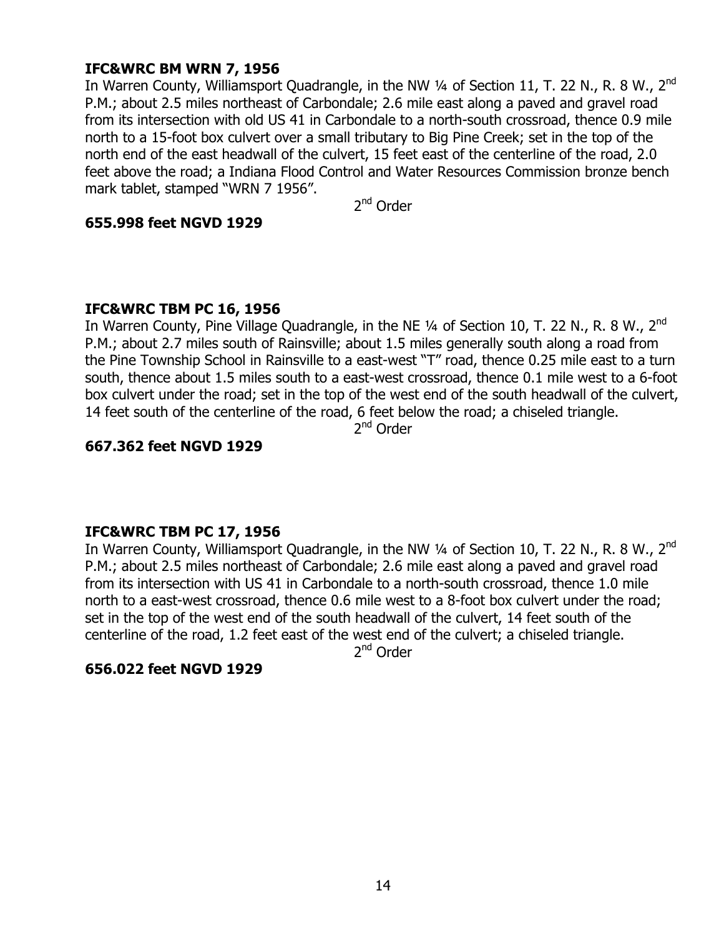# **IFC&WRC BM WRN 7, 1956**

In Warren County, Williamsport Quadrangle, in the NW  $\frac{1}{4}$  of Section 11, T. 22 N., R. 8 W., 2<sup>nd</sup> P.M.; about 2.5 miles northeast of Carbondale; 2.6 mile east along a paved and gravel road from its intersection with old US 41 in Carbondale to a north-south crossroad, thence 0.9 mile north to a 15-foot box culvert over a small tributary to Big Pine Creek; set in the top of the north end of the east headwall of the culvert, 15 feet east of the centerline of the road, 2.0 feet above the road; a Indiana Flood Control and Water Resources Commission bronze bench mark tablet, stamped "WRN 7 1956".

2<sup>nd</sup> Order

## **655.998 feet NGVD 1929**

## **IFC&WRC TBM PC 16, 1956**

In Warren County, Pine Village Quadrangle, in the NE  $\frac{1}{4}$  of Section 10, T. 22 N., R. 8 W., 2<sup>nd</sup> P.M.; about 2.7 miles south of Rainsville; about 1.5 miles generally south along a road from the Pine Township School in Rainsville to a east-west "T" road, thence 0.25 mile east to a turn south, thence about 1.5 miles south to a east-west crossroad, thence 0.1 mile west to a 6-foot box culvert under the road; set in the top of the west end of the south headwall of the culvert, 14 feet south of the centerline of the road, 6 feet below the road; a chiseled triangle.

2<sup>nd</sup> Order

## **667.362 feet NGVD 1929**

## **IFC&WRC TBM PC 17, 1956**

In Warren County, Williamsport Quadrangle, in the NW 1/4 of Section 10, T. 22 N., R. 8 W., 2<sup>nd</sup> P.M.; about 2.5 miles northeast of Carbondale; 2.6 mile east along a paved and gravel road from its intersection with US 41 in Carbondale to a north-south crossroad, thence 1.0 mile north to a east-west crossroad, thence 0.6 mile west to a 8-foot box culvert under the road; set in the top of the west end of the south headwall of the culvert, 14 feet south of the centerline of the road, 1.2 feet east of the west end of the culvert; a chiseled triangle.

2nd Order

## **656.022 feet NGVD 1929**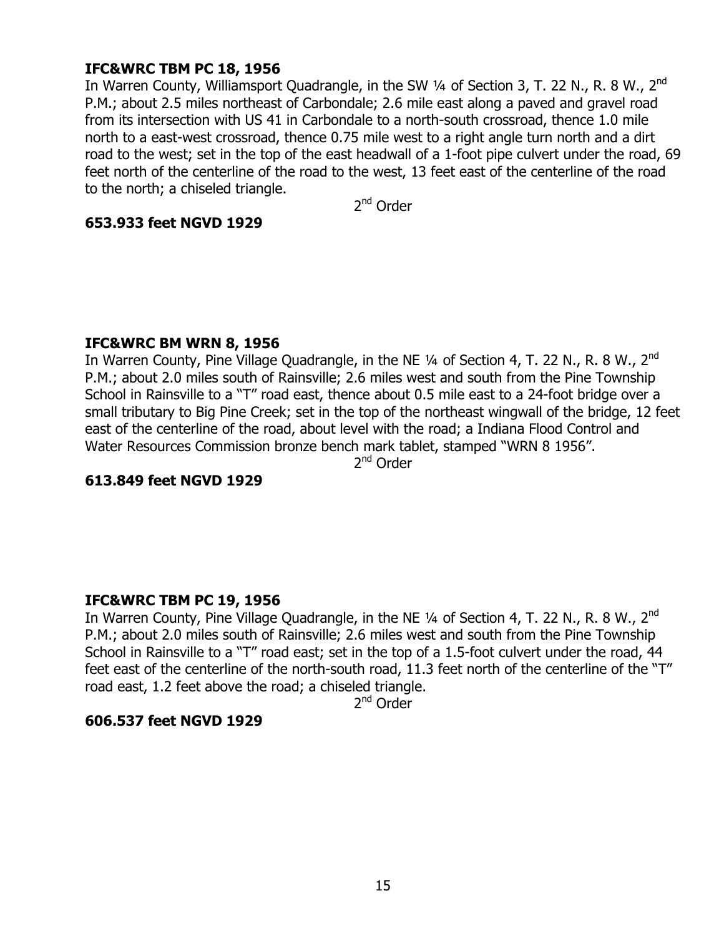# **IFC&WRC TBM PC 18, 1956**

In Warren County, Williamsport Quadrangle, in the SW  $\frac{1}{4}$  of Section 3, T. 22 N., R. 8 W., 2<sup>nd</sup> P.M.; about 2.5 miles northeast of Carbondale; 2.6 mile east along a paved and gravel road from its intersection with US 41 in Carbondale to a north-south crossroad, thence 1.0 mile north to a east-west crossroad, thence 0.75 mile west to a right angle turn north and a dirt road to the west; set in the top of the east headwall of a 1-foot pipe culvert under the road, 69 feet north of the centerline of the road to the west, 13 feet east of the centerline of the road to the north; a chiseled triangle.

2<sup>nd</sup> Order

## **653.933 feet NGVD 1929**

#### **IFC&WRC BM WRN 8, 1956**

In Warren County, Pine Village Quadrangle, in the NE  $\frac{1}{4}$  of Section 4, T. 22 N., R. 8 W., 2<sup>nd</sup> P.M.; about 2.0 miles south of Rainsville; 2.6 miles west and south from the Pine Township School in Rainsville to a "T" road east, thence about 0.5 mile east to a 24-foot bridge over a small tributary to Big Pine Creek; set in the top of the northeast wingwall of the bridge, 12 feet east of the centerline of the road, about level with the road; a Indiana Flood Control and Water Resources Commission bronze bench mark tablet, stamped "WRN 8 1956".

2<sup>nd</sup> Order

## **613.849 feet NGVD 1929**

## **IFC&WRC TBM PC 19, 1956**

In Warren County, Pine Village Quadrangle, in the NE 1/4 of Section 4, T. 22 N., R. 8 W., 2<sup>nd</sup> P.M.; about 2.0 miles south of Rainsville; 2.6 miles west and south from the Pine Township School in Rainsville to a "T" road east; set in the top of a 1.5-foot culvert under the road, 44 feet east of the centerline of the north-south road, 11.3 feet north of the centerline of the "T" road east, 1.2 feet above the road; a chiseled triangle.

2<sup>nd</sup> Order

## **606.537 feet NGVD 1929**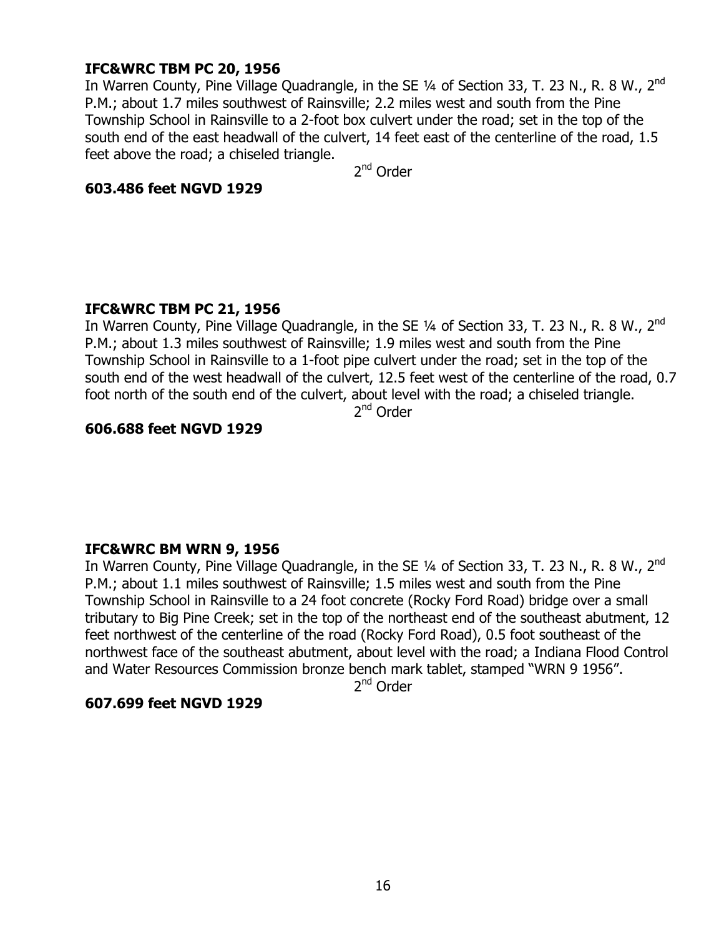# **IFC&WRC TBM PC 20, 1956**

In Warren County, Pine Village Quadrangle, in the SE 1/4 of Section 33, T. 23 N., R. 8 W., 2<sup>nd</sup> P.M.; about 1.7 miles southwest of Rainsville; 2.2 miles west and south from the Pine Township School in Rainsville to a 2-foot box culvert under the road; set in the top of the south end of the east headwall of the culvert, 14 feet east of the centerline of the road, 1.5 feet above the road; a chiseled triangle.

2nd Order

#### **603.486 feet NGVD 1929**

## **IFC&WRC TBM PC 21, 1956**

In Warren County, Pine Village Quadrangle, in the SE 1/4 of Section 33, T. 23 N., R. 8 W., 2<sup>nd</sup> P.M.; about 1.3 miles southwest of Rainsville; 1.9 miles west and south from the Pine Township School in Rainsville to a 1-foot pipe culvert under the road; set in the top of the south end of the west headwall of the culvert, 12.5 feet west of the centerline of the road, 0.7 foot north of the south end of the culvert, about level with the road; a chiseled triangle.

2nd Order

# **606.688 feet NGVD 1929**

## **IFC&WRC BM WRN 9, 1956**

In Warren County, Pine Village Quadrangle, in the SE 1/4 of Section 33, T. 23 N., R. 8 W., 2<sup>nd</sup> P.M.; about 1.1 miles southwest of Rainsville; 1.5 miles west and south from the Pine Township School in Rainsville to a 24 foot concrete (Rocky Ford Road) bridge over a small tributary to Big Pine Creek; set in the top of the northeast end of the southeast abutment, 12 feet northwest of the centerline of the road (Rocky Ford Road), 0.5 foot southeast of the northwest face of the southeast abutment, about level with the road; a Indiana Flood Control and Water Resources Commission bronze bench mark tablet, stamped "WRN 9 1956".

2<sup>nd</sup> Order

# **607.699 feet NGVD 1929**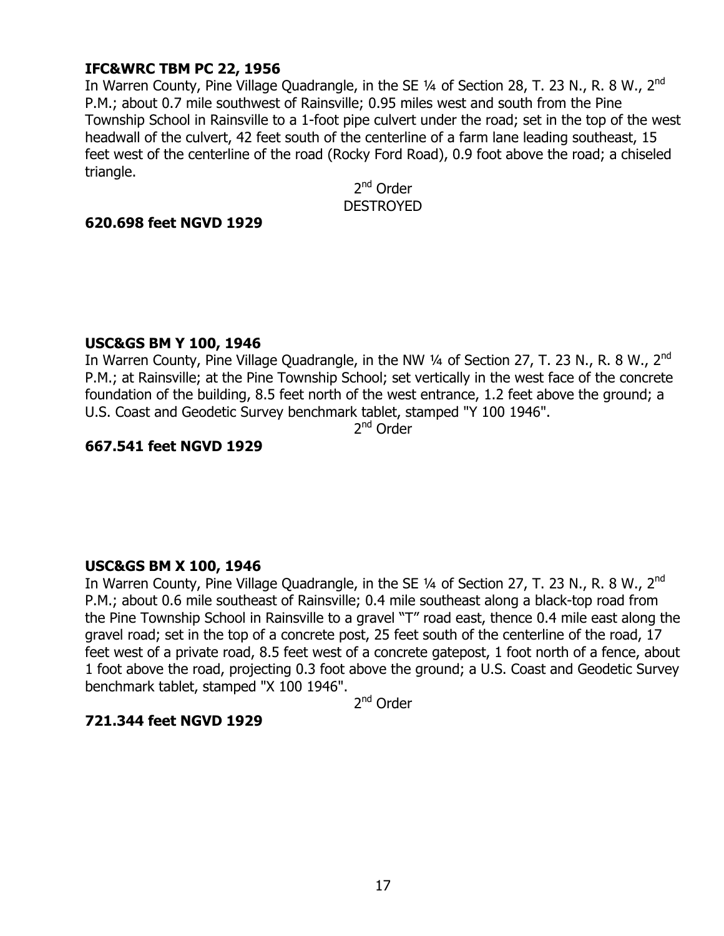# **IFC&WRC TBM PC 22, 1956**

In Warren County, Pine Village Quadrangle, in the SE 1/4 of Section 28, T. 23 N., R. 8 W., 2<sup>nd</sup> P.M.; about 0.7 mile southwest of Rainsville; 0.95 miles west and south from the Pine Township School in Rainsville to a 1-foot pipe culvert under the road; set in the top of the west headwall of the culvert, 42 feet south of the centerline of a farm lane leading southeast, 15 feet west of the centerline of the road (Rocky Ford Road), 0.9 foot above the road; a chiseled triangle.

2<sup>nd</sup> Order **DESTROYED** 

#### **620.698 feet NGVD 1929**

#### **USC&GS BM Y 100, 1946**

In Warren County, Pine Village Quadrangle, in the NW 1/4 of Section 27, T. 23 N., R. 8 W., 2<sup>nd</sup> P.M.; at Rainsville; at the Pine Township School; set vertically in the west face of the concrete foundation of the building, 8.5 feet north of the west entrance, 1.2 feet above the ground; a U.S. Coast and Geodetic Survey benchmark tablet, stamped "Y 100 1946".

2<sup>nd</sup> Order

#### **667.541 feet NGVD 1929**

#### **USC&GS BM X 100, 1946**

In Warren County, Pine Village Quadrangle, in the SE  $\frac{1}{4}$  of Section 27, T. 23 N., R. 8 W., 2<sup>nd</sup> P.M.; about 0.6 mile southeast of Rainsville; 0.4 mile southeast along a black-top road from the Pine Township School in Rainsville to a gravel "T" road east, thence 0.4 mile east along the gravel road; set in the top of a concrete post, 25 feet south of the centerline of the road, 17 feet west of a private road, 8.5 feet west of a concrete gatepost, 1 foot north of a fence, about 1 foot above the road, projecting 0.3 foot above the ground; a U.S. Coast and Geodetic Survey benchmark tablet, stamped "X 100 1946".

2<sup>nd</sup> Order

## **721.344 feet NGVD 1929**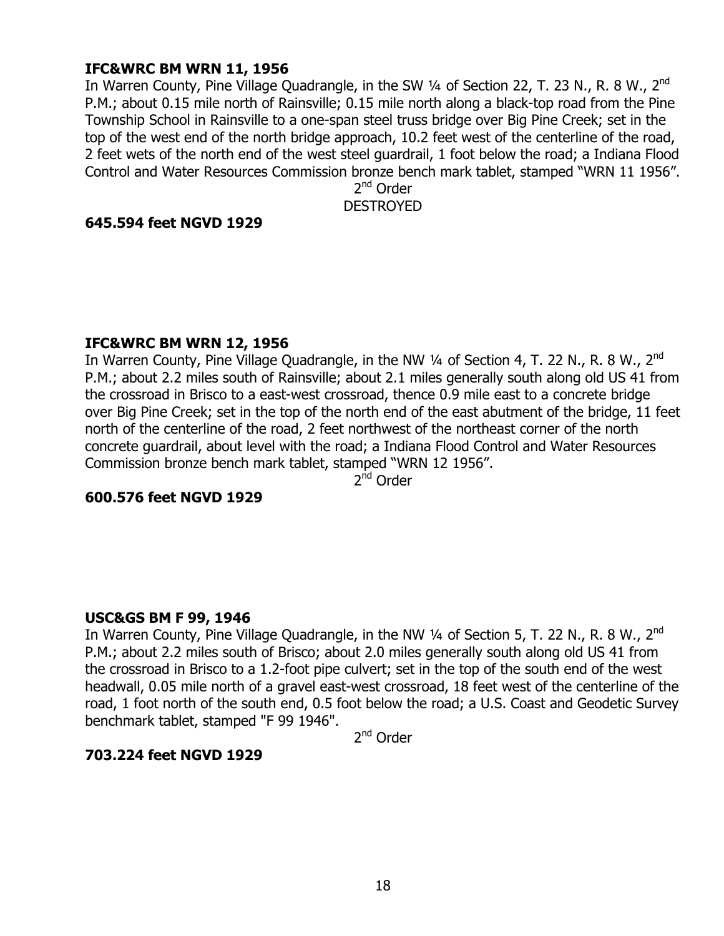## **IFC&WRC BM WRN 11, 1956**

In Warren County, Pine Village Quadrangle, in the SW 1/4 of Section 22, T. 23 N., R. 8 W., 2<sup>nd</sup> P.M.; about 0.15 mile north of Rainsville; 0.15 mile north along a black-top road from the Pine Township School in Rainsville to a one-span steel truss bridge over Big Pine Creek; set in the top of the west end of the north bridge approach, 10.2 feet west of the centerline of the road, 2 feet wets of the north end of the west steel guardrail, 1 foot below the road; a Indiana Flood Control and Water Resources Commission bronze bench mark tablet, stamped "WRN 11 1956".

2<sup>nd</sup> Order DESTROYED

## **645.594 feet NGVD 1929**

#### **IFC&WRC BM WRN 12, 1956**

In Warren County, Pine Village Quadrangle, in the NW  $\frac{1}{4}$  of Section 4, T. 22 N., R. 8 W., 2<sup>nd</sup> P.M.; about 2.2 miles south of Rainsville; about 2.1 miles generally south along old US 41 from the crossroad in Brisco to a east-west crossroad, thence 0.9 mile east to a concrete bridge over Big Pine Creek; set in the top of the north end of the east abutment of the bridge, 11 feet north of the centerline of the road, 2 feet northwest of the northeast corner of the north concrete guardrail, about level with the road; a Indiana Flood Control and Water Resources Commission bronze bench mark tablet, stamped "WRN 12 1956".

2<sup>nd</sup> Order

## **600.576 feet NGVD 1929**

## **USC&GS BM F 99, 1946**

In Warren County, Pine Village Quadrangle, in the NW  $\frac{1}{4}$  of Section 5, T. 22 N., R. 8 W., 2<sup>nd</sup> P.M.; about 2.2 miles south of Brisco; about 2.0 miles generally south along old US 41 from the crossroad in Brisco to a 1.2-foot pipe culvert; set in the top of the south end of the west headwall, 0.05 mile north of a gravel east-west crossroad, 18 feet west of the centerline of the road, 1 foot north of the south end, 0.5 foot below the road; a U.S. Coast and Geodetic Survey benchmark tablet, stamped "F 99 1946".

2<sup>nd</sup> Order

## **703.224 feet NGVD 1929**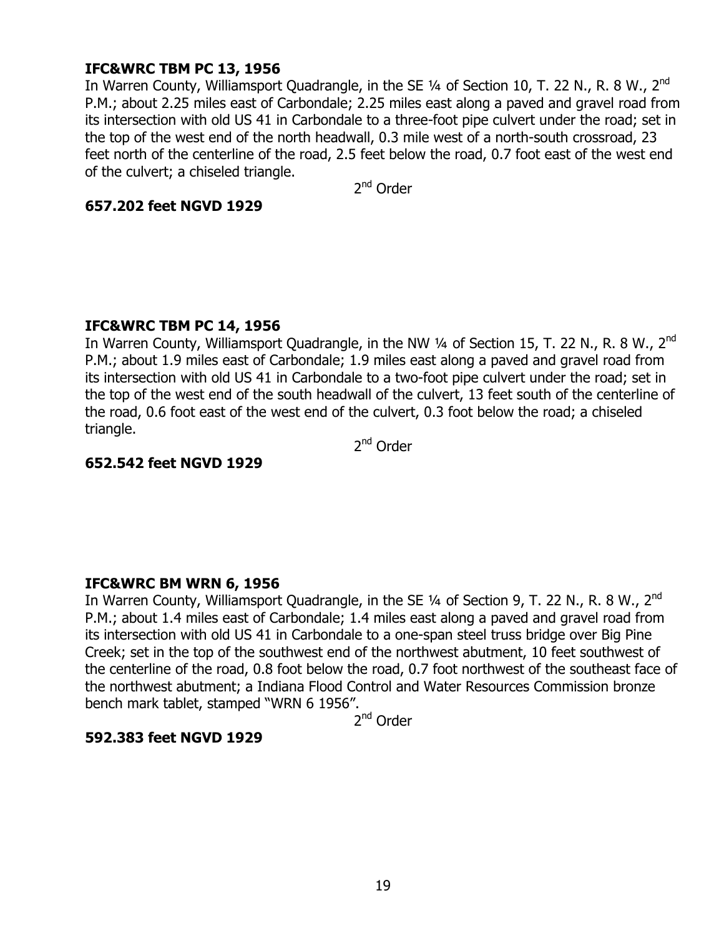# **IFC&WRC TBM PC 13, 1956**

In Warren County, Williamsport Quadrangle, in the SE 1/4 of Section 10, T. 22 N., R. 8 W., 2<sup>nd</sup> P.M.; about 2.25 miles east of Carbondale; 2.25 miles east along a paved and gravel road from its intersection with old US 41 in Carbondale to a three-foot pipe culvert under the road; set in the top of the west end of the north headwall, 0.3 mile west of a north-south crossroad, 23 feet north of the centerline of the road, 2.5 feet below the road, 0.7 foot east of the west end of the culvert; a chiseled triangle.

2<sup>nd</sup> Order

#### **657.202 feet NGVD 1929**

## **IFC&WRC TBM PC 14, 1956**

In Warren County, Williamsport Quadrangle, in the NW 1/4 of Section 15, T. 22 N., R. 8 W., 2<sup>nd</sup> P.M.; about 1.9 miles east of Carbondale; 1.9 miles east along a paved and gravel road from its intersection with old US 41 in Carbondale to a two-foot pipe culvert under the road; set in the top of the west end of the south headwall of the culvert, 13 feet south of the centerline of the road, 0.6 foot east of the west end of the culvert, 0.3 foot below the road; a chiseled triangle.

2<sup>nd</sup> Order

## **652.542 feet NGVD 1929**

## **IFC&WRC BM WRN 6, 1956**

In Warren County, Williamsport Quadrangle, in the SE  $\frac{1}{4}$  of Section 9, T. 22 N., R. 8 W., 2<sup>nd</sup> P.M.; about 1.4 miles east of Carbondale; 1.4 miles east along a paved and gravel road from its intersection with old US 41 in Carbondale to a one-span steel truss bridge over Big Pine Creek; set in the top of the southwest end of the northwest abutment, 10 feet southwest of the centerline of the road, 0.8 foot below the road, 0.7 foot northwest of the southeast face of the northwest abutment; a Indiana Flood Control and Water Resources Commission bronze bench mark tablet, stamped "WRN 6 1956".

2<sup>nd</sup> Order

## **592.383 feet NGVD 1929**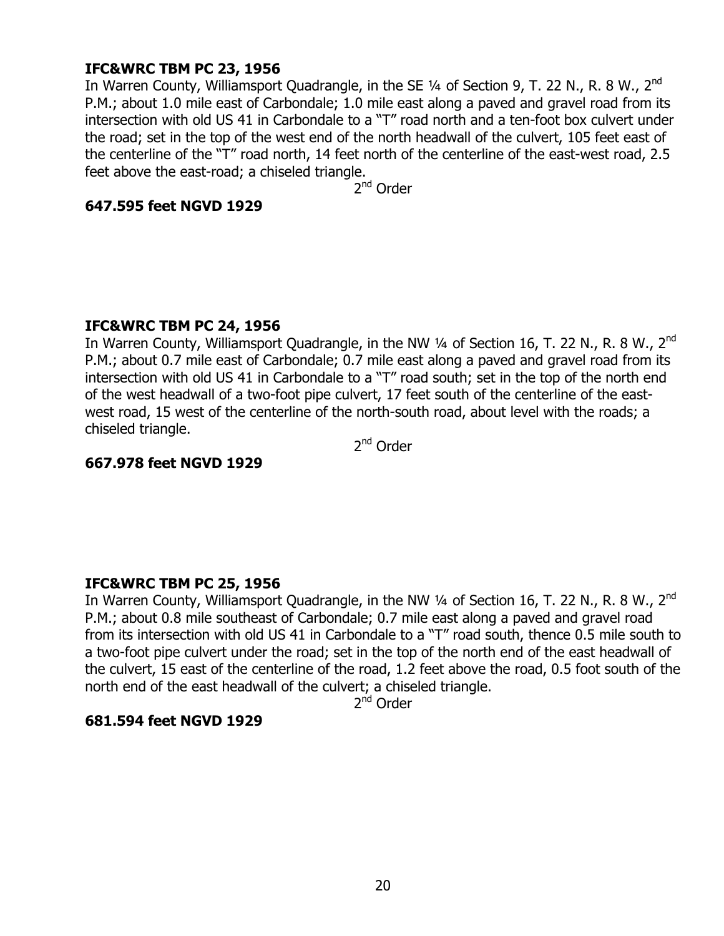# **IFC&WRC TBM PC 23, 1956**

In Warren County, Williamsport Quadrangle, in the SE  $\frac{1}{4}$  of Section 9, T. 22 N., R. 8 W., 2<sup>nd</sup> P.M.; about 1.0 mile east of Carbondale; 1.0 mile east along a paved and gravel road from its intersection with old US 41 in Carbondale to a "T" road north and a ten-foot box culvert under the road; set in the top of the west end of the north headwall of the culvert, 105 feet east of the centerline of the "T" road north, 14 feet north of the centerline of the east-west road, 2.5 feet above the east-road; a chiseled triangle.

2<sup>nd</sup> Order

#### **647.595 feet NGVD 1929**

## **IFC&WRC TBM PC 24, 1956**

In Warren County, Williamsport Quadrangle, in the NW 1/4 of Section 16, T. 22 N., R. 8 W., 2<sup>nd</sup> P.M.; about 0.7 mile east of Carbondale; 0.7 mile east along a paved and gravel road from its intersection with old US 41 in Carbondale to a "T" road south; set in the top of the north end of the west headwall of a two-foot pipe culvert, 17 feet south of the centerline of the eastwest road, 15 west of the centerline of the north-south road, about level with the roads; a chiseled triangle.

2<sup>nd</sup> Order

## **667.978 feet NGVD 1929**

## **IFC&WRC TBM PC 25, 1956**

In Warren County, Williamsport Quadrangle, in the NW  $\frac{1}{4}$  of Section 16, T. 22 N., R. 8 W., 2<sup>nd</sup> P.M.; about 0.8 mile southeast of Carbondale; 0.7 mile east along a paved and gravel road from its intersection with old US 41 in Carbondale to a "T" road south, thence 0.5 mile south to a two-foot pipe culvert under the road; set in the top of the north end of the east headwall of the culvert, 15 east of the centerline of the road, 1.2 feet above the road, 0.5 foot south of the north end of the east headwall of the culvert; a chiseled triangle.

2<sup>nd</sup> Order

## **681.594 feet NGVD 1929**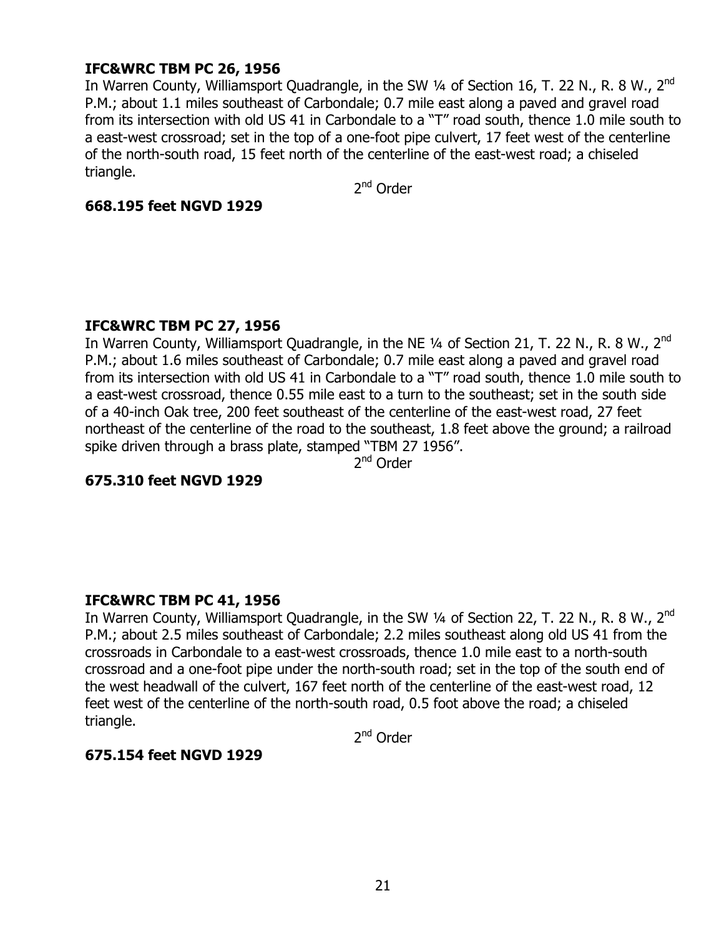# **IFC&WRC TBM PC 26, 1956**

In Warren County, Williamsport Quadrangle, in the SW  $\frac{1}{4}$  of Section 16, T. 22 N., R. 8 W., 2<sup>nd</sup> P.M.; about 1.1 miles southeast of Carbondale; 0.7 mile east along a paved and gravel road from its intersection with old US 41 in Carbondale to a "T" road south, thence 1.0 mile south to a east-west crossroad; set in the top of a one-foot pipe culvert, 17 feet west of the centerline of the north-south road, 15 feet north of the centerline of the east-west road; a chiseled triangle.

2<sup>nd</sup> Order

## **668.195 feet NGVD 1929**

## **IFC&WRC TBM PC 27, 1956**

In Warren County, Williamsport Quadrangle, in the NE 1/4 of Section 21, T. 22 N., R. 8 W., 2<sup>nd</sup> P.M.; about 1.6 miles southeast of Carbondale; 0.7 mile east along a paved and gravel road from its intersection with old US 41 in Carbondale to a "T" road south, thence 1.0 mile south to a east-west crossroad, thence 0.55 mile east to a turn to the southeast; set in the south side of a 40-inch Oak tree, 200 feet southeast of the centerline of the east-west road, 27 feet northeast of the centerline of the road to the southeast, 1.8 feet above the ground; a railroad spike driven through a brass plate, stamped "TBM 27 1956".

2<sup>nd</sup> Order

## **675.310 feet NGVD 1929**

## **IFC&WRC TBM PC 41, 1956**

In Warren County, Williamsport Quadrangle, in the SW 1/4 of Section 22, T. 22 N., R. 8 W., 2<sup>nd</sup> P.M.; about 2.5 miles southeast of Carbondale; 2.2 miles southeast along old US 41 from the crossroads in Carbondale to a east-west crossroads, thence 1.0 mile east to a north-south crossroad and a one-foot pipe under the north-south road; set in the top of the south end of the west headwall of the culvert, 167 feet north of the centerline of the east-west road, 12 feet west of the centerline of the north-south road, 0.5 foot above the road; a chiseled triangle.

2<sup>nd</sup> Order

## **675.154 feet NGVD 1929**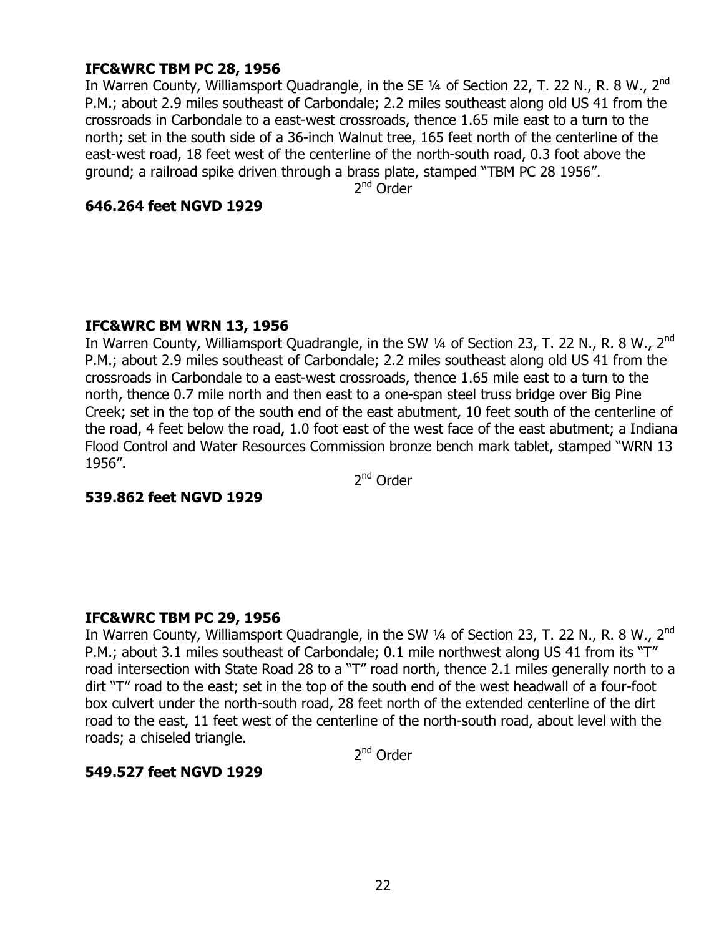# **IFC&WRC TBM PC 28, 1956**

In Warren County, Williamsport Quadrangle, in the SE  $\frac{1}{4}$  of Section 22, T. 22 N., R. 8 W., 2<sup>nd</sup> P.M.; about 2.9 miles southeast of Carbondale; 2.2 miles southeast along old US 41 from the crossroads in Carbondale to a east-west crossroads, thence 1.65 mile east to a turn to the north; set in the south side of a 36-inch Walnut tree, 165 feet north of the centerline of the east-west road, 18 feet west of the centerline of the north-south road, 0.3 foot above the ground; a railroad spike driven through a brass plate, stamped "TBM PC 28 1956".

2<sup>nd</sup> Order

#### **646.264 feet NGVD 1929**

## **IFC&WRC BM WRN 13, 1956**

In Warren County, Williamsport Quadrangle, in the SW  $\frac{1}{4}$  of Section 23, T. 22 N., R. 8 W., 2<sup>nd</sup> P.M.; about 2.9 miles southeast of Carbondale; 2.2 miles southeast along old US 41 from the crossroads in Carbondale to a east-west crossroads, thence 1.65 mile east to a turn to the north, thence 0.7 mile north and then east to a one-span steel truss bridge over Big Pine Creek; set in the top of the south end of the east abutment, 10 feet south of the centerline of the road, 4 feet below the road, 1.0 foot east of the west face of the east abutment; a Indiana Flood Control and Water Resources Commission bronze bench mark tablet, stamped "WRN 13 1956".

2<sup>nd</sup> Order

## **539.862 feet NGVD 1929**

## **IFC&WRC TBM PC 29, 1956**

In Warren County, Williamsport Quadrangle, in the SW 1/4 of Section 23, T. 22 N., R. 8 W., 2<sup>nd</sup> P.M.; about 3.1 miles southeast of Carbondale; 0.1 mile northwest along US 41 from its "T" road intersection with State Road 28 to a "T" road north, thence 2.1 miles generally north to a dirt "T" road to the east; set in the top of the south end of the west headwall of a four-foot box culvert under the north-south road, 28 feet north of the extended centerline of the dirt road to the east, 11 feet west of the centerline of the north-south road, about level with the roads; a chiseled triangle.

2<sup>nd</sup> Order

## **549.527 feet NGVD 1929**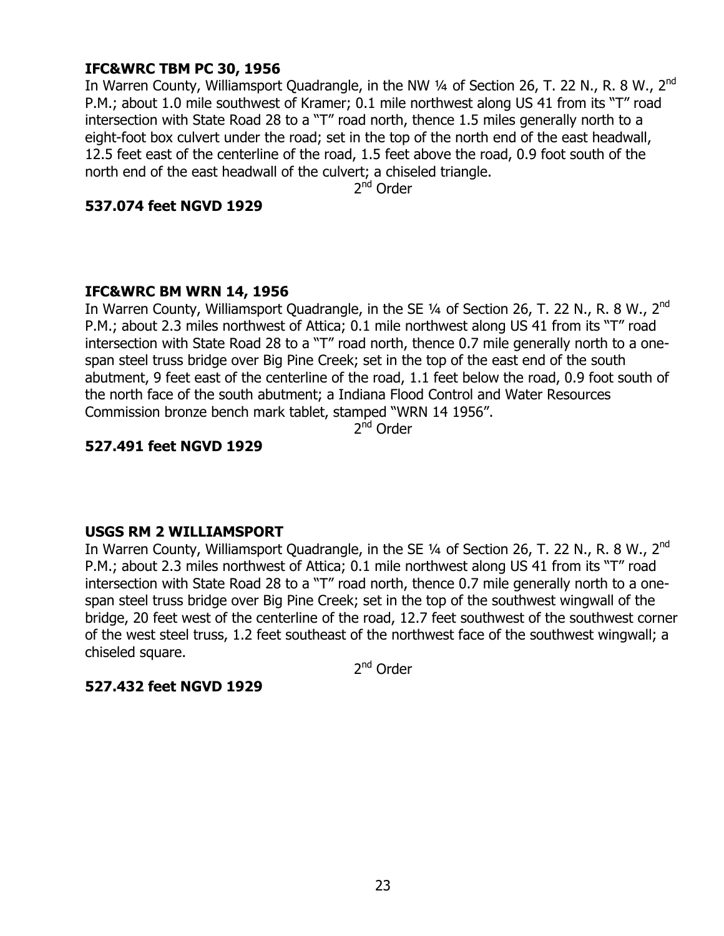# **IFC&WRC TBM PC 30, 1956**

In Warren County, Williamsport Quadrangle, in the NW  $\frac{1}{4}$  of Section 26, T. 22 N., R. 8 W., 2<sup>nd</sup> P.M.; about 1.0 mile southwest of Kramer; 0.1 mile northwest along US 41 from its "T" road intersection with State Road 28 to a "T" road north, thence 1.5 miles generally north to a eight-foot box culvert under the road; set in the top of the north end of the east headwall, 12.5 feet east of the centerline of the road, 1.5 feet above the road, 0.9 foot south of the north end of the east headwall of the culvert; a chiseled triangle.

2<sup>nd</sup> Order

## **537.074 feet NGVD 1929**

## **IFC&WRC BM WRN 14, 1956**

In Warren County, Williamsport Quadrangle, in the SE 1/4 of Section 26, T. 22 N., R. 8 W., 2<sup>nd</sup> P.M.; about 2.3 miles northwest of Attica; 0.1 mile northwest along US 41 from its "T" road intersection with State Road 28 to a "T" road north, thence 0.7 mile generally north to a onespan steel truss bridge over Big Pine Creek; set in the top of the east end of the south abutment, 9 feet east of the centerline of the road, 1.1 feet below the road, 0.9 foot south of the north face of the south abutment; a Indiana Flood Control and Water Resources Commission bronze bench mark tablet, stamped "WRN 14 1956".

 $2<sup>nd</sup>$  Order

## **527.491 feet NGVD 1929**

## **USGS RM 2 WILLIAMSPORT**

In Warren County, Williamsport Quadrangle, in the SE 1/4 of Section 26, T. 22 N., R. 8 W., 2<sup>nd</sup> P.M.; about 2.3 miles northwest of Attica; 0.1 mile northwest along US 41 from its "T" road intersection with State Road 28 to a "T" road north, thence 0.7 mile generally north to a onespan steel truss bridge over Big Pine Creek; set in the top of the southwest wingwall of the bridge, 20 feet west of the centerline of the road, 12.7 feet southwest of the southwest corner of the west steel truss, 1.2 feet southeast of the northwest face of the southwest wingwall; a chiseled square.

2<sup>nd</sup> Order

## **527.432 feet NGVD 1929**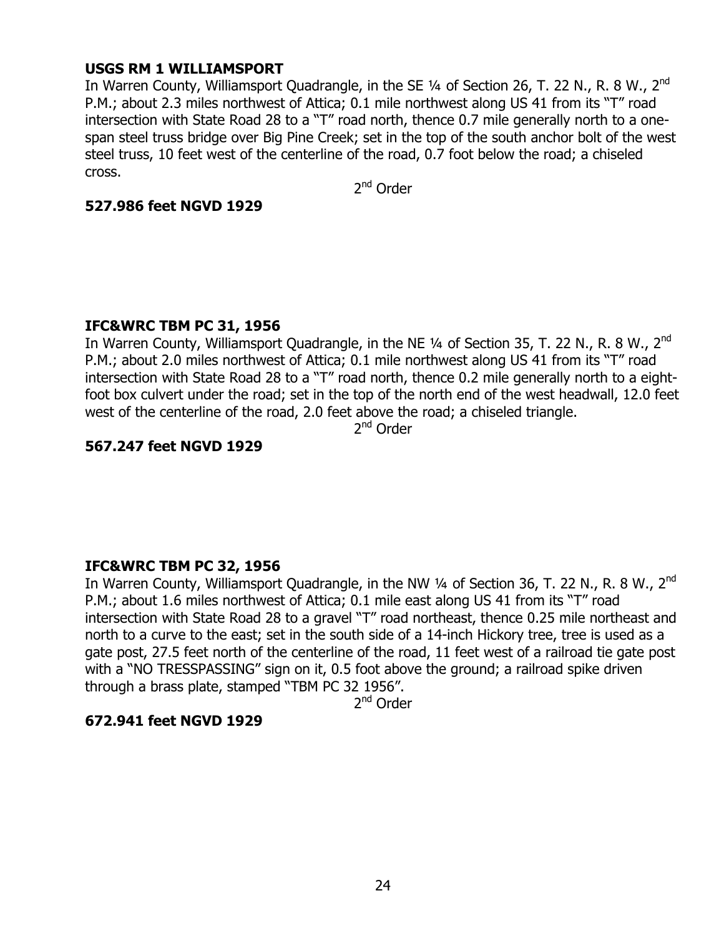## **USGS RM 1 WILLIAMSPORT**

In Warren County, Williamsport Quadrangle, in the SE 1/4 of Section 26, T. 22 N., R. 8 W., 2<sup>nd</sup> P.M.; about 2.3 miles northwest of Attica; 0.1 mile northwest along US 41 from its "T" road intersection with State Road 28 to a "T" road north, thence 0.7 mile generally north to a onespan steel truss bridge over Big Pine Creek; set in the top of the south anchor bolt of the west steel truss, 10 feet west of the centerline of the road, 0.7 foot below the road; a chiseled cross.

2<sup>nd</sup> Order

## **527.986 feet NGVD 1929**

## **IFC&WRC TBM PC 31, 1956**

In Warren County, Williamsport Quadrangle, in the NE 1/4 of Section 35, T. 22 N., R. 8 W., 2<sup>nd</sup> P.M.; about 2.0 miles northwest of Attica; 0.1 mile northwest along US 41 from its "T" road intersection with State Road 28 to a "T" road north, thence 0.2 mile generally north to a eightfoot box culvert under the road; set in the top of the north end of the west headwall, 12.0 feet west of the centerline of the road, 2.0 feet above the road; a chiseled triangle.

2<sup>nd</sup> Order

# **567.247 feet NGVD 1929**

## **IFC&WRC TBM PC 32, 1956**

In Warren County, Williamsport Quadrangle, in the NW  $\frac{1}{4}$  of Section 36, T. 22 N., R. 8 W., 2<sup>nd</sup> P.M.; about 1.6 miles northwest of Attica; 0.1 mile east along US 41 from its "T" road intersection with State Road 28 to a gravel "T" road northeast, thence 0.25 mile northeast and north to a curve to the east; set in the south side of a 14-inch Hickory tree, tree is used as a gate post, 27.5 feet north of the centerline of the road, 11 feet west of a railroad tie gate post with a "NO TRESSPASSING" sign on it, 0.5 foot above the ground; a railroad spike driven through a brass plate, stamped "TBM PC 32 1956".

2<sup>nd</sup> Order

## **672.941 feet NGVD 1929**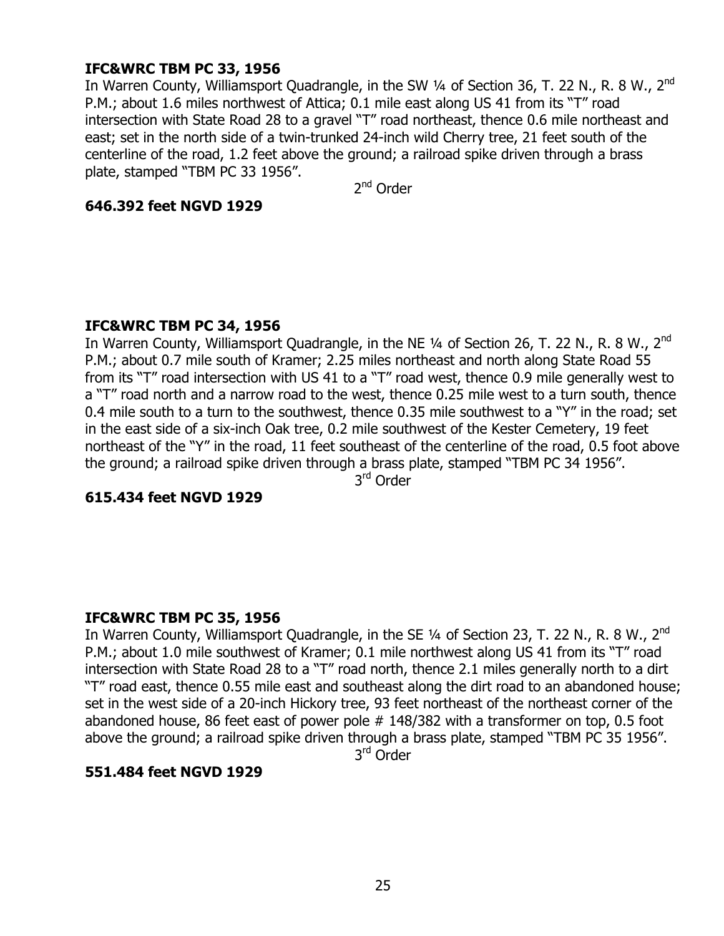# **IFC&WRC TBM PC 33, 1956**

In Warren County, Williamsport Quadrangle, in the SW 1/4 of Section 36, T. 22 N., R. 8 W., 2<sup>nd</sup> P.M.; about 1.6 miles northwest of Attica; 0.1 mile east along US 41 from its "T" road intersection with State Road 28 to a gravel "T" road northeast, thence 0.6 mile northeast and east; set in the north side of a twin-trunked 24-inch wild Cherry tree, 21 feet south of the centerline of the road, 1.2 feet above the ground; a railroad spike driven through a brass plate, stamped "TBM PC 33 1956".

2<sup>nd</sup> Order

#### **646.392 feet NGVD 1929**

## **IFC&WRC TBM PC 34, 1956**

In Warren County, Williamsport Quadrangle, in the NE 1/4 of Section 26, T. 22 N., R. 8 W., 2<sup>nd</sup> P.M.; about 0.7 mile south of Kramer; 2.25 miles northeast and north along State Road 55 from its "T" road intersection with US 41 to a "T" road west, thence 0.9 mile generally west to a "T" road north and a narrow road to the west, thence 0.25 mile west to a turn south, thence 0.4 mile south to a turn to the southwest, thence 0.35 mile southwest to a "Y" in the road; set in the east side of a six-inch Oak tree, 0.2 mile southwest of the Kester Cemetery, 19 feet northeast of the "Y" in the road, 11 feet southeast of the centerline of the road, 0.5 foot above the ground; a railroad spike driven through a brass plate, stamped "TBM PC 34 1956".

3rd Order

## **615.434 feet NGVD 1929**

## **IFC&WRC TBM PC 35, 1956**

In Warren County, Williamsport Quadrangle, in the SE  $\frac{1}{4}$  of Section 23, T. 22 N., R. 8 W., 2<sup>nd</sup> P.M.; about 1.0 mile southwest of Kramer; 0.1 mile northwest along US 41 from its "T" road intersection with State Road 28 to a "T" road north, thence 2.1 miles generally north to a dirt —T" road east, thence 0.55 mile east and southeast along the dirt road to an abandoned house; set in the west side of a 20-inch Hickory tree, 93 feet northeast of the northeast corner of the abandoned house, 86 feet east of power pole # 148/382 with a transformer on top, 0.5 foot above the ground; a railroad spike driven through a brass plate, stamped "TBM PC 35 1956".

3<sup>rd</sup> Order

## **551.484 feet NGVD 1929**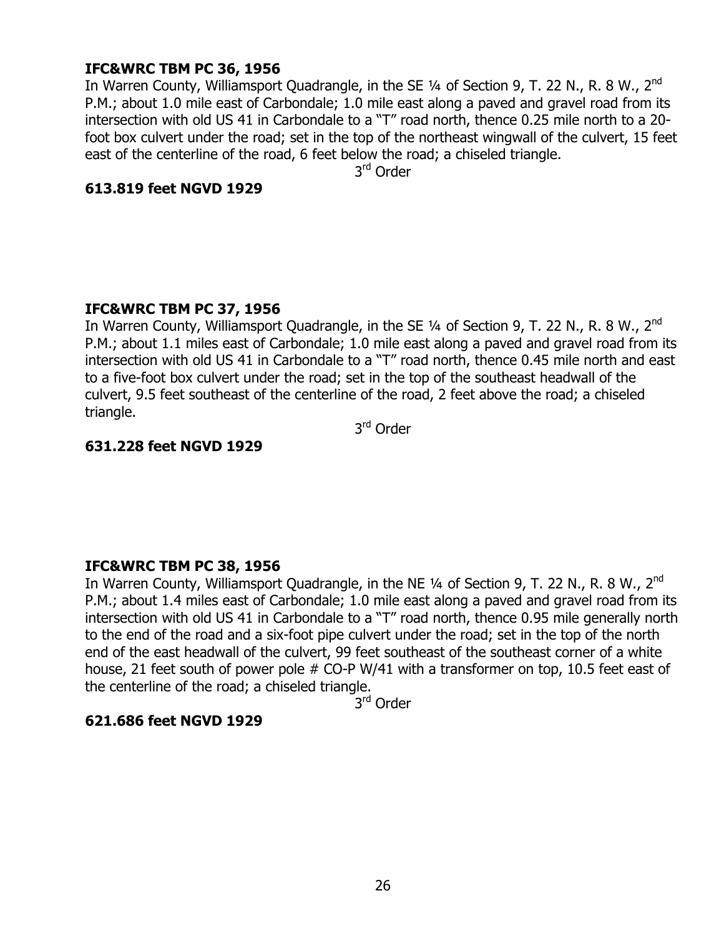## **IFC&WRC TBM PC 36, 1956**

In Warren County, Williamsport Quadrangle, in the SE  $\frac{1}{4}$  of Section 9, T. 22 N., R. 8 W., 2<sup>nd</sup> P.M.; about 1.0 mile east of Carbondale; 1.0 mile east along a paved and gravel road from its intersection with old US 41 in Carbondale to a "T" road north, thence 0.25 mile north to a 20foot box culvert under the road; set in the top of the northeast wingwall of the culvert, 15 feet east of the centerline of the road, 6 feet below the road; a chiseled triangle.

3rd Order

## **613.819 feet NGVD 1929**

## **IFC&WRC TBM PC 37, 1956**

In Warren County, Williamsport Quadrangle, in the SE  $\frac{1}{4}$  of Section 9, T. 22 N., R. 8 W., 2<sup>nd</sup> P.M.; about 1.1 miles east of Carbondale; 1.0 mile east along a paved and gravel road from its intersection with old US 41 in Carbondale to a "T" road north, thence 0.45 mile north and east to a five-foot box culvert under the road; set in the top of the southeast headwall of the culvert, 9.5 feet southeast of the centerline of the road, 2 feet above the road; a chiseled triangle.

3rd Order

## **631.228 feet NGVD 1929**

## **IFC&WRC TBM PC 38, 1956**

In Warren County, Williamsport Quadrangle, in the NE 1/4 of Section 9, T. 22 N., R. 8 W., 2<sup>nd</sup> P.M.; about 1.4 miles east of Carbondale; 1.0 mile east along a paved and gravel road from its intersection with old US 41 in Carbondale to a "T" road north, thence 0.95 mile generally north to the end of the road and a six-foot pipe culvert under the road; set in the top of the north end of the east headwall of the culvert, 99 feet southeast of the southeast corner of a white house, 21 feet south of power pole # CO-P W/41 with a transformer on top, 10.5 feet east of the centerline of the road; a chiseled triangle.

3<sup>rd</sup> Order

## **621.686 feet NGVD 1929**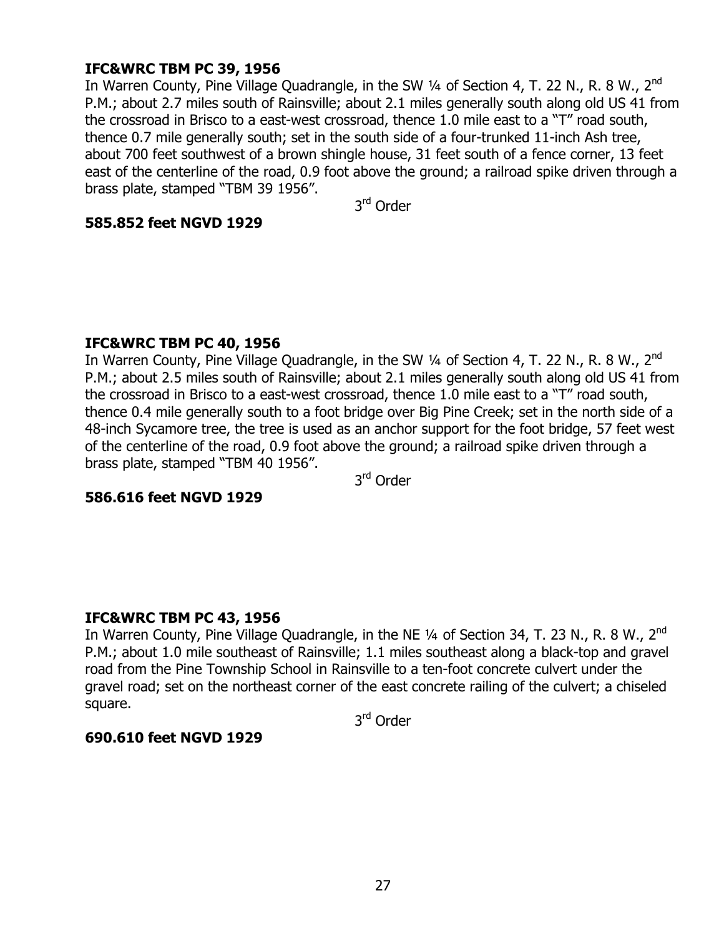# **IFC&WRC TBM PC 39, 1956**

In Warren County, Pine Village Quadrangle, in the SW 1/4 of Section 4, T. 22 N., R. 8 W., 2<sup>nd</sup> P.M.; about 2.7 miles south of Rainsville; about 2.1 miles generally south along old US 41 from the crossroad in Brisco to a east-west crossroad, thence 1.0 mile east to a "T" road south, thence 0.7 mile generally south; set in the south side of a four-trunked 11-inch Ash tree, about 700 feet southwest of a brown shingle house, 31 feet south of a fence corner, 13 feet east of the centerline of the road, 0.9 foot above the ground; a railroad spike driven through a brass plate, stamped "TBM 39 1956".

3<sup>rd</sup> Order

#### **585.852 feet NGVD 1929**

## **IFC&WRC TBM PC 40, 1956**

In Warren County, Pine Village Quadrangle, in the SW  $\frac{1}{4}$  of Section 4, T. 22 N., R. 8 W., 2<sup>nd</sup> P.M.; about 2.5 miles south of Rainsville; about 2.1 miles generally south along old US 41 from the crossroad in Brisco to a east-west crossroad, thence 1.0 mile east to a "T" road south, thence 0.4 mile generally south to a foot bridge over Big Pine Creek; set in the north side of a 48-inch Sycamore tree, the tree is used as an anchor support for the foot bridge, 57 feet west of the centerline of the road, 0.9 foot above the ground; a railroad spike driven through a brass plate, stamped "TBM 40 1956".

3<sup>rd</sup> Order

## **586.616 feet NGVD 1929**

## **IFC&WRC TBM PC 43, 1956**

In Warren County, Pine Village Quadrangle, in the NE  $\frac{1}{4}$  of Section 34, T. 23 N., R. 8 W., 2<sup>nd</sup> P.M.; about 1.0 mile southeast of Rainsville; 1.1 miles southeast along a black-top and gravel road from the Pine Township School in Rainsville to a ten-foot concrete culvert under the gravel road; set on the northeast corner of the east concrete railing of the culvert; a chiseled square.

3rd Order

## **690.610 feet NGVD 1929**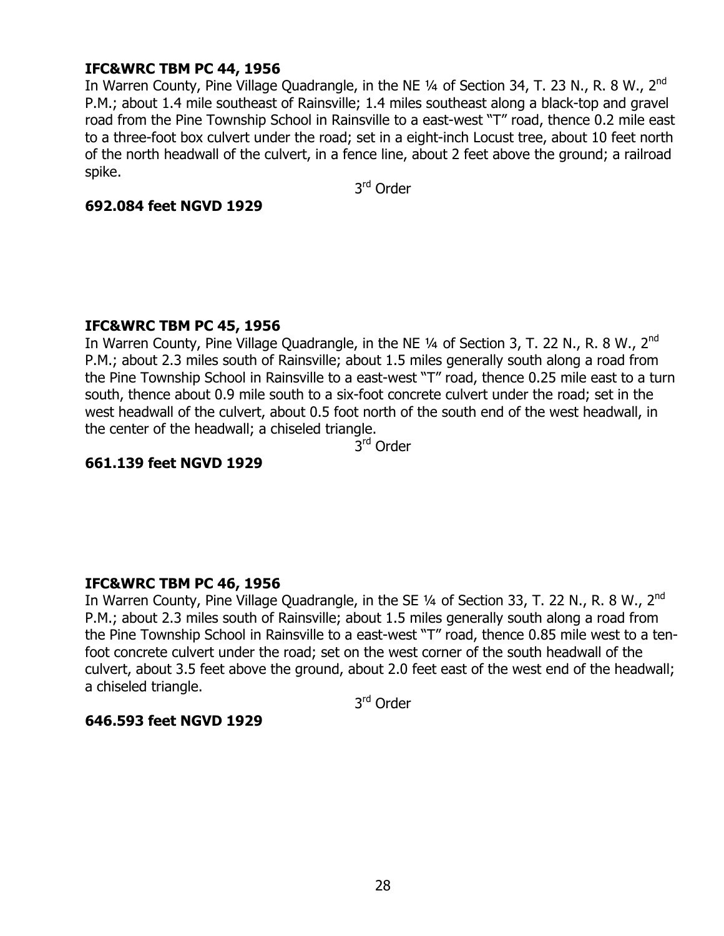# **IFC&WRC TBM PC 44, 1956**

In Warren County, Pine Village Quadrangle, in the NE  $\frac{1}{4}$  of Section 34, T. 23 N., R. 8 W., 2<sup>nd</sup> P.M.; about 1.4 mile southeast of Rainsville; 1.4 miles southeast along a black-top and gravel road from the Pine Township School in Rainsville to a east-west "T" road, thence 0.2 mile east to a three-foot box culvert under the road; set in a eight-inch Locust tree, about 10 feet north of the north headwall of the culvert, in a fence line, about 2 feet above the ground; a railroad spike.

3rd Order

#### **692.084 feet NGVD 1929**

## **IFC&WRC TBM PC 45, 1956**

In Warren County, Pine Village Quadrangle, in the NE 1/4 of Section 3, T. 22 N., R. 8 W., 2<sup>nd</sup> P.M.; about 2.3 miles south of Rainsville; about 1.5 miles generally south along a road from the Pine Township School in Rainsville to a east-west "T" road, thence 0.25 mile east to a turn south, thence about 0.9 mile south to a six-foot concrete culvert under the road; set in the west headwall of the culvert, about 0.5 foot north of the south end of the west headwall, in the center of the headwall; a chiseled triangle.

3<sup>rd</sup> Order

## **661.139 feet NGVD 1929**

## **IFC&WRC TBM PC 46, 1956**

In Warren County, Pine Village Quadrangle, in the SE  $\frac{1}{4}$  of Section 33, T. 22 N., R. 8 W., 2<sup>nd</sup> P.M.; about 2.3 miles south of Rainsville; about 1.5 miles generally south along a road from the Pine Township School in Rainsville to a east-west "T" road, thence 0.85 mile west to a tenfoot concrete culvert under the road; set on the west corner of the south headwall of the culvert, about 3.5 feet above the ground, about 2.0 feet east of the west end of the headwall; a chiseled triangle.

3rd Order

## **646.593 feet NGVD 1929**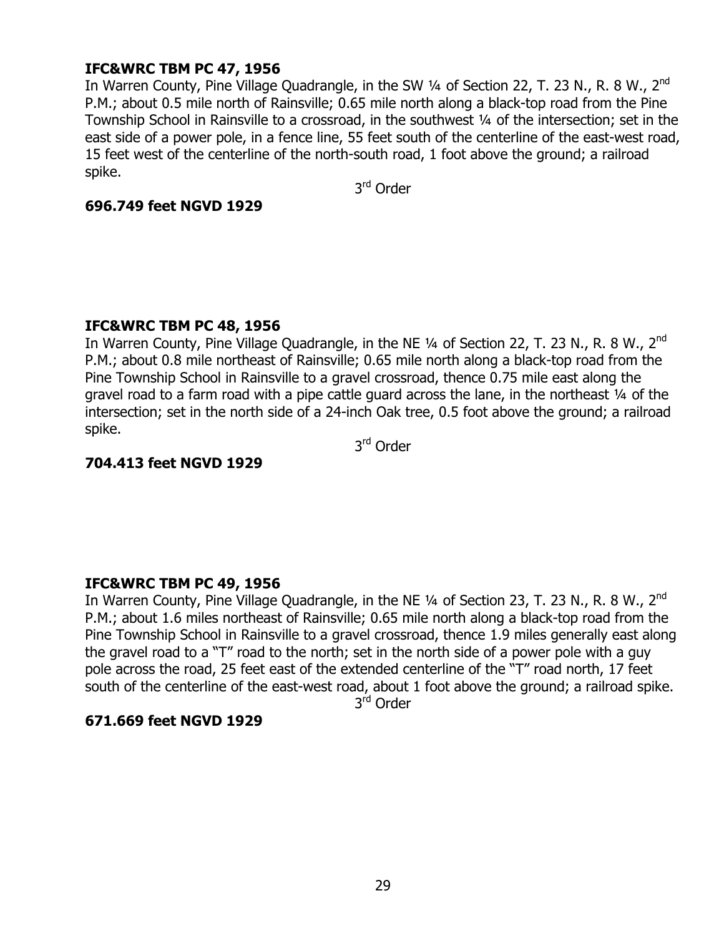# **IFC&WRC TBM PC 47, 1956**

In Warren County, Pine Village Quadrangle, in the SW 1/4 of Section 22, T. 23 N., R. 8 W., 2<sup>nd</sup> P.M.; about 0.5 mile north of Rainsville; 0.65 mile north along a black-top road from the Pine Township School in Rainsville to a crossroad, in the southwest 1/4 of the intersection; set in the east side of a power pole, in a fence line, 55 feet south of the centerline of the east-west road, 15 feet west of the centerline of the north-south road, 1 foot above the ground; a railroad spike.

3rd Order

## **696.749 feet NGVD 1929**

## **IFC&WRC TBM PC 48, 1956**

In Warren County, Pine Village Quadrangle, in the NE  $\frac{1}{4}$  of Section 22, T. 23 N., R. 8 W., 2<sup>nd</sup> P.M.; about 0.8 mile northeast of Rainsville; 0.65 mile north along a black-top road from the Pine Township School in Rainsville to a gravel crossroad, thence 0.75 mile east along the gravel road to a farm road with a pipe cattle guard across the lane, in the northeast  $\frac{1}{4}$  of the intersection; set in the north side of a 24-inch Oak tree, 0.5 foot above the ground; a railroad spike.

3rd Order

## **704.413 feet NGVD 1929**

## **IFC&WRC TBM PC 49, 1956**

In Warren County, Pine Village Quadrangle, in the NE  $\frac{1}{4}$  of Section 23, T. 23 N., R. 8 W., 2<sup>nd</sup> P.M.; about 1.6 miles northeast of Rainsville; 0.65 mile north along a black-top road from the Pine Township School in Rainsville to a gravel crossroad, thence 1.9 miles generally east along the gravel road to a "T" road to the north; set in the north side of a power pole with a guy pole across the road, 25 feet east of the extended centerline of the "T" road north, 17 feet south of the centerline of the east-west road, about 1 foot above the ground; a railroad spike.

3<sup>rd</sup> Order

## **671.669 feet NGVD 1929**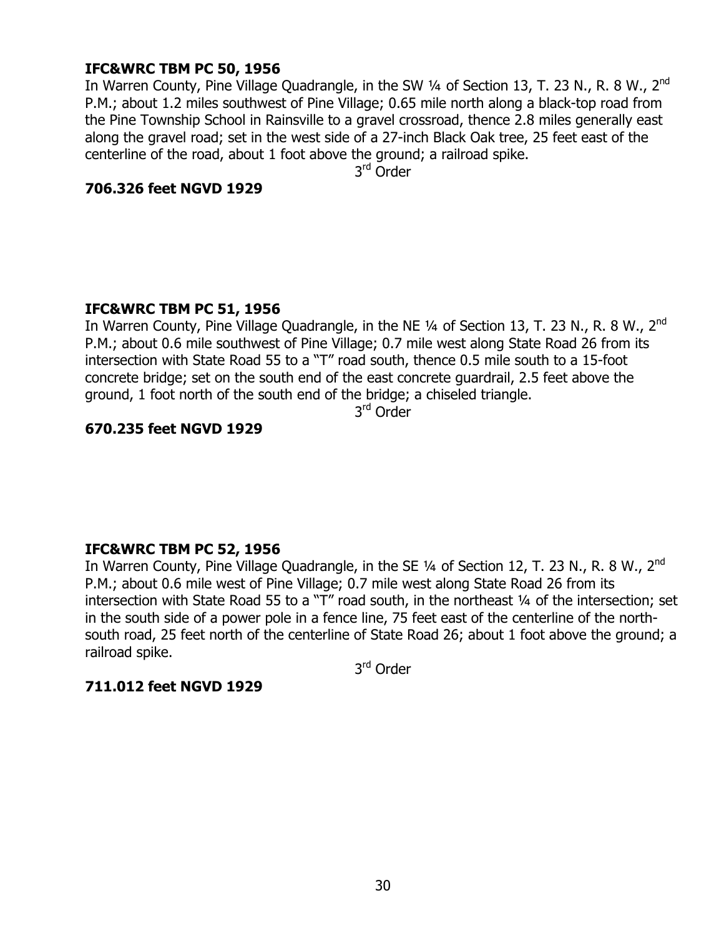# **IFC&WRC TBM PC 50, 1956**

In Warren County, Pine Village Quadrangle, in the SW 1/4 of Section 13, T. 23 N., R. 8 W., 2<sup>nd</sup> P.M.; about 1.2 miles southwest of Pine Village; 0.65 mile north along a black-top road from the Pine Township School in Rainsville to a gravel crossroad, thence 2.8 miles generally east along the gravel road; set in the west side of a 27-inch Black Oak tree, 25 feet east of the centerline of the road, about 1 foot above the ground; a railroad spike.

3rd Order

## **706.326 feet NGVD 1929**

## **IFC&WRC TBM PC 51, 1956**

In Warren County, Pine Village Quadrangle, in the NE  $\frac{1}{4}$  of Section 13, T. 23 N., R. 8 W., 2<sup>nd</sup> P.M.; about 0.6 mile southwest of Pine Village; 0.7 mile west along State Road 26 from its intersection with State Road 55 to a "T" road south, thence 0.5 mile south to a 15-foot concrete bridge; set on the south end of the east concrete guardrail, 2.5 feet above the ground, 1 foot north of the south end of the bridge; a chiseled triangle.

3rd Order

# **670.235 feet NGVD 1929**

# **IFC&WRC TBM PC 52, 1956**

In Warren County, Pine Village Quadrangle, in the SE 1/4 of Section 12, T. 23 N., R. 8 W., 2<sup>nd</sup> P.M.; about 0.6 mile west of Pine Village; 0.7 mile west along State Road 26 from its intersection with State Road 55 to a " $\overline{T}$ " road south, in the northeast  $\frac{1}{4}$  of the intersection; set in the south side of a power pole in a fence line, 75 feet east of the centerline of the northsouth road, 25 feet north of the centerline of State Road 26; about 1 foot above the ground; a railroad spike.

3rd Order

## **711.012 feet NGVD 1929**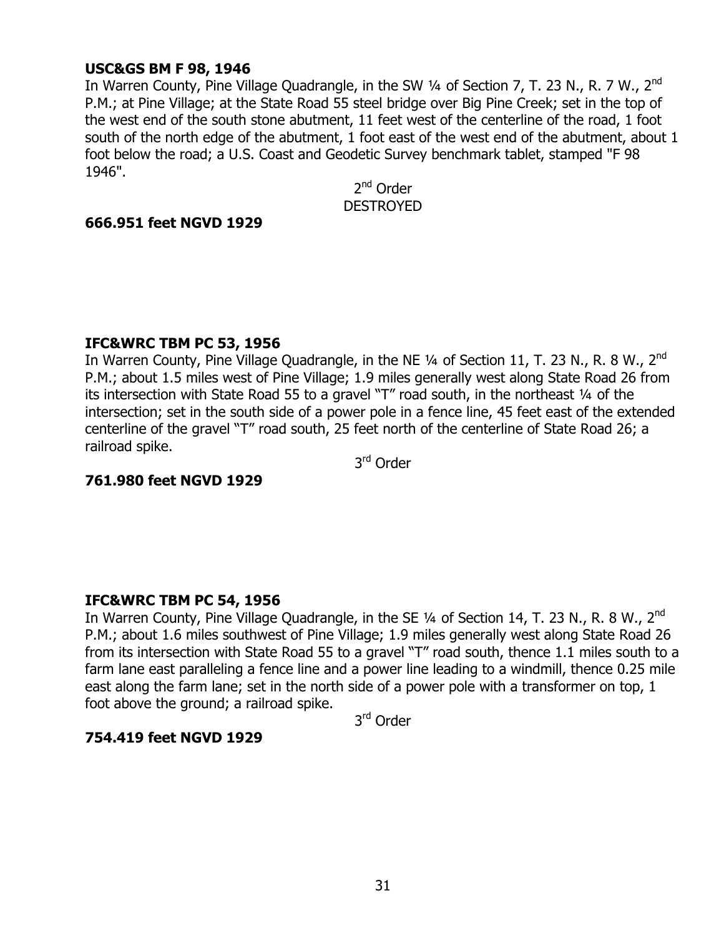## **USC&GS BM F 98, 1946**

In Warren County, Pine Village Quadrangle, in the SW  $\frac{1}{4}$  of Section 7, T. 23 N., R. 7 W., 2<sup>nd</sup> P.M.; at Pine Village; at the State Road 55 steel bridge over Big Pine Creek; set in the top of the west end of the south stone abutment, 11 feet west of the centerline of the road, 1 foot south of the north edge of the abutment, 1 foot east of the west end of the abutment, about 1 foot below the road; a U.S. Coast and Geodetic Survey benchmark tablet, stamped "F 98 1946".

2<sup>nd</sup> Order DESTROYED

## **666.951 feet NGVD 1929**

## **IFC&WRC TBM PC 53, 1956**

In Warren County, Pine Village Quadrangle, in the NE  $\frac{1}{4}$  of Section 11, T. 23 N., R. 8 W., 2<sup>nd</sup> P.M.; about 1.5 miles west of Pine Village; 1.9 miles generally west along State Road 26 from its intersection with State Road 55 to a gravel "T" road south, in the northeast  $\frac{1}{4}$  of the intersection; set in the south side of a power pole in a fence line, 45 feet east of the extended centerline of the gravel "T" road south, 25 feet north of the centerline of State Road 26; a railroad spike.

3rd Order

## **761.980 feet NGVD 1929**

## **IFC&WRC TBM PC 54, 1956**

In Warren County, Pine Village Quadrangle, in the SE 1/4 of Section 14, T. 23 N., R. 8 W., 2<sup>nd</sup> P.M.; about 1.6 miles southwest of Pine Village; 1.9 miles generally west along State Road 26 from its intersection with State Road 55 to a gravel "T" road south, thence 1.1 miles south to a farm lane east paralleling a fence line and a power line leading to a windmill, thence 0.25 mile east along the farm lane; set in the north side of a power pole with a transformer on top, 1 foot above the ground; a railroad spike.

3<sup>rd</sup> Order

## **754.419 feet NGVD 1929**